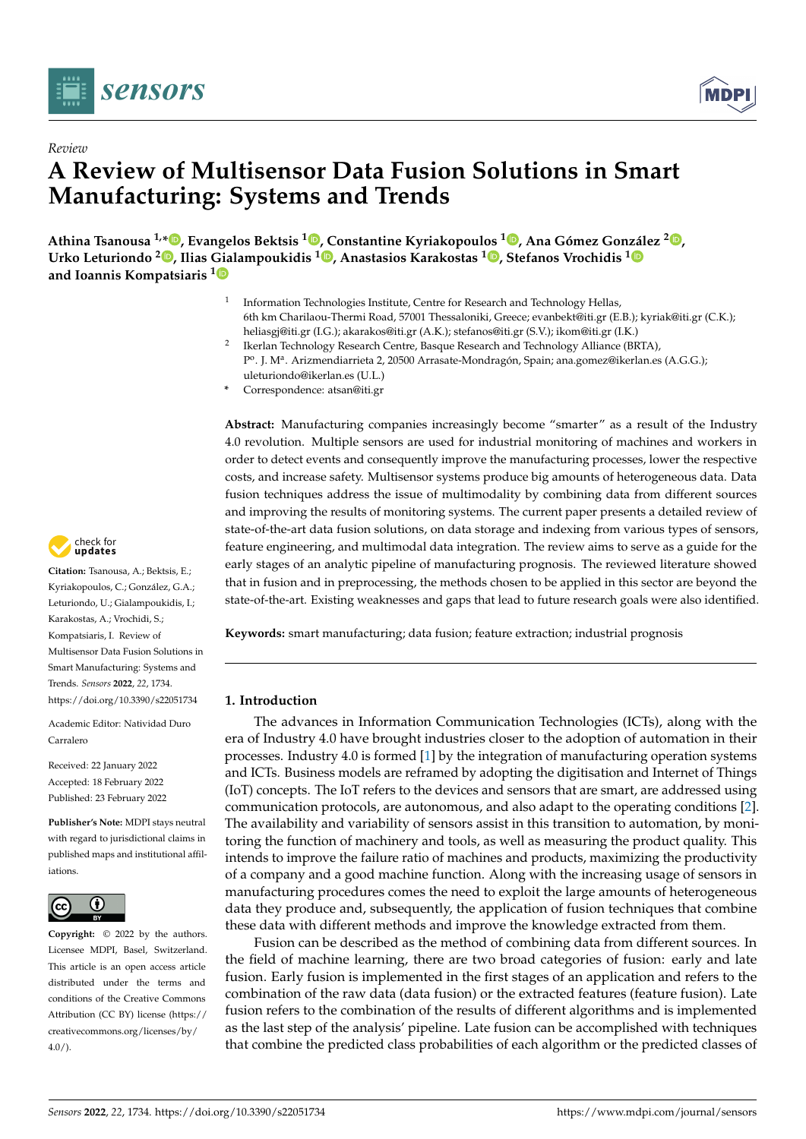

*Review*



# **A Review of Multisensor Data Fusion Solutions in Smart Manufacturing: Systems and Trends**

**Athina Tsanousa 1,\* [,](https://orcid.org/0000-0001-6599-4446) Evangelos Bektsis <sup>1</sup> [,](https://orcid.org/0000-0002-6760-1498) Constantine Kyriakopoulos <sup>1</sup> [,](https://orcid.org/0000-0001-7874-2205) Ana Gómez González <sup>2</sup> [,](https://orcid.org/0000-0001-5720-0183) Urko Leturiondo <sup>2</sup> [,](https://orcid.org/0000-0003-4913-6438) Ilias Gialampoukidis <sup>1</sup> [,](https://orcid.org/0000-0002-5234-9795) Anastasios Karakostas <sup>1</sup> [,](https://orcid.org/0000-0002-8508-3903) Stefanos Vrochidis [1](https://orcid.org/0000-0002-2505-9178) and Ioannis Kompatsiaris [1](https://orcid.org/0000-0001-6447-9020)**

- 1 Information Technologies Institute, Centre for Research and Technology Hellas, 6th km Charilaou-Thermi Road, 57001 Thessaloniki, Greece; evanbekt@iti.gr (E.B.); kyriak@iti.gr (C.K.); heliasgj@iti.gr (I.G.); akarakos@iti.gr (A.K.); stefanos@iti.gr (S.V.); ikom@iti.gr (I.K.)
- 2 Ikerlan Technology Research Centre, Basque Research and Technology Alliance (BRTA), Pº. J. Mª. Arizmendiarrieta 2, 20500 Arrasate-Mondragón, Spain; ana.gomez@ikerlan.es (A.G.G.); uleturiondo@ikerlan.es (U.L.)
- **\*** Correspondence: atsan@iti.gr

**Abstract:** Manufacturing companies increasingly become "smarter" as a result of the Industry 4.0 revolution. Multiple sensors are used for industrial monitoring of machines and workers in order to detect events and consequently improve the manufacturing processes, lower the respective costs, and increase safety. Multisensor systems produce big amounts of heterogeneous data. Data fusion techniques address the issue of multimodality by combining data from different sources and improving the results of monitoring systems. The current paper presents a detailed review of state-of-the-art data fusion solutions, on data storage and indexing from various types of sensors, feature engineering, and multimodal data integration. The review aims to serve as a guide for the early stages of an analytic pipeline of manufacturing prognosis. The reviewed literature showed that in fusion and in preprocessing, the methods chosen to be applied in this sector are beyond the state-of-the-art. Existing weaknesses and gaps that lead to future research goals were also identified.

**Keywords:** smart manufacturing; data fusion; feature extraction; industrial prognosis

# **1. Introduction**

The advances in Information Communication Technologies (ICTs), along with the era of Industry 4.0 have brought industries closer to the adoption of automation in their processes. Industry 4.0 is formed [\[1\]](#page-21-0) by the integration of manufacturing operation systems and ICTs. Business models are reframed by adopting the digitisation and Internet of Things (IoT) concepts. The IoT refers to the devices and sensors that are smart, are addressed using communication protocols, are autonomous, and also adapt to the operating conditions [\[2\]](#page-21-1). The availability and variability of sensors assist in this transition to automation, by monitoring the function of machinery and tools, as well as measuring the product quality. This intends to improve the failure ratio of machines and products, maximizing the productivity of a company and a good machine function. Along with the increasing usage of sensors in manufacturing procedures comes the need to exploit the large amounts of heterogeneous data they produce and, subsequently, the application of fusion techniques that combine these data with different methods and improve the knowledge extracted from them.

Fusion can be described as the method of combining data from different sources. In the field of machine learning, there are two broad categories of fusion: early and late fusion. Early fusion is implemented in the first stages of an application and refers to the combination of the raw data (data fusion) or the extracted features (feature fusion). Late fusion refers to the combination of the results of different algorithms and is implemented as the last step of the analysis' pipeline. Late fusion can be accomplished with techniques that combine the predicted class probabilities of each algorithm or the predicted classes of



**Citation:** Tsanousa, A.; Bektsis, E.; Kyriakopoulos, C.; González, G.A.; Leturiondo, U.; Gialampoukidis, I.; Karakostas, A.; Vrochidi, S.; Kompatsiaris, I. Review of Multisensor Data Fusion Solutions in Smart Manufacturing: Systems and Trends. *Sensors* **2022**, *22*, 1734. <https://doi.org/10.3390/s22051734>

Academic Editor: Natividad Duro Carralero

Received: 22 January 2022 Accepted: 18 February 2022 Published: 23 February 2022

**Publisher's Note:** MDPI stays neutral with regard to jurisdictional claims in published maps and institutional affiliations.



**Copyright:** © 2022 by the authors. Licensee MDPI, Basel, Switzerland. This article is an open access article distributed under the terms and conditions of the Creative Commons Attribution (CC BY) license [\(https://](https://creativecommons.org/licenses/by/4.0/) [creativecommons.org/licenses/by/](https://creativecommons.org/licenses/by/4.0/)  $4.0/$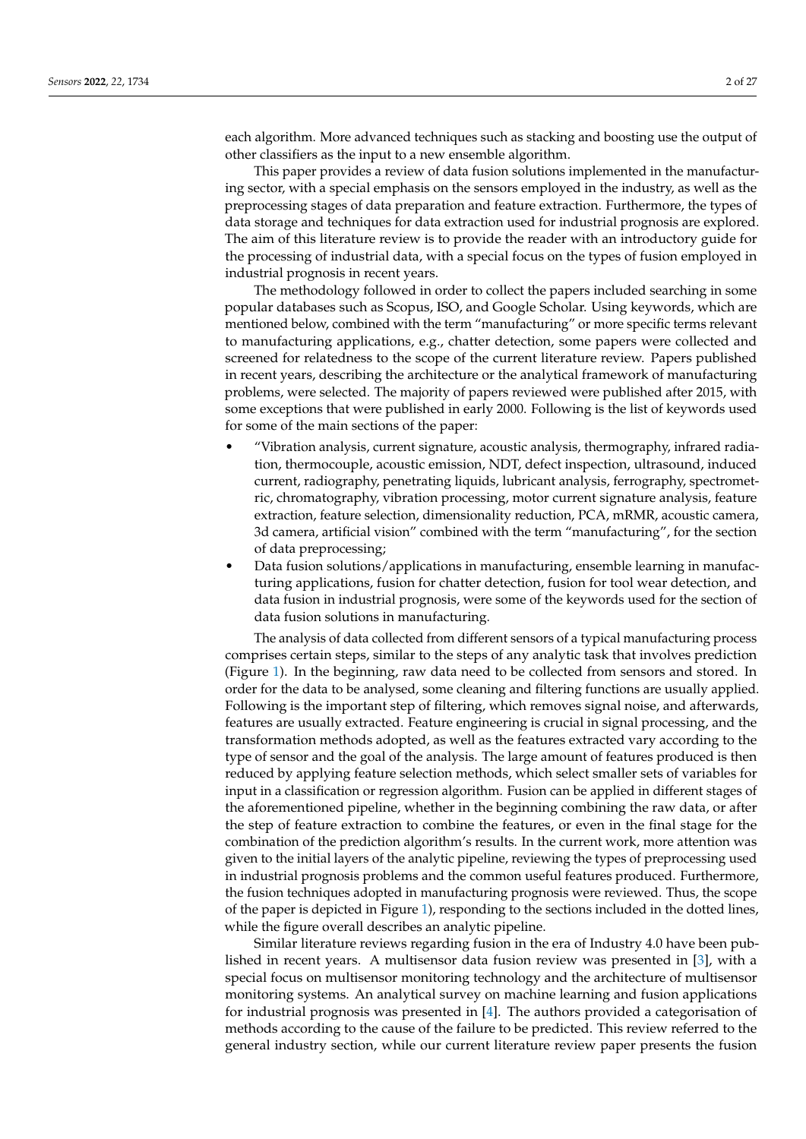each algorithm. More advanced techniques such as stacking and boosting use the output of other classifiers as the input to a new ensemble algorithm.

This paper provides a review of data fusion solutions implemented in the manufacturing sector, with a special emphasis on the sensors employed in the industry, as well as the preprocessing stages of data preparation and feature extraction. Furthermore, the types of data storage and techniques for data extraction used for industrial prognosis are explored. The aim of this literature review is to provide the reader with an introductory guide for the processing of industrial data, with a special focus on the types of fusion employed in industrial prognosis in recent years.

The methodology followed in order to collect the papers included searching in some popular databases such as Scopus, ISO, and Google Scholar. Using keywords, which are mentioned below, combined with the term "manufacturing" or more specific terms relevant to manufacturing applications, e.g., chatter detection, some papers were collected and screened for relatedness to the scope of the current literature review. Papers published in recent years, describing the architecture or the analytical framework of manufacturing problems, were selected. The majority of papers reviewed were published after 2015, with some exceptions that were published in early 2000. Following is the list of keywords used for some of the main sections of the paper:

- "Vibration analysis, current signature, acoustic analysis, thermography, infrared radiation, thermocouple, acoustic emission, NDT, defect inspection, ultrasound, induced current, radiography, penetrating liquids, lubricant analysis, ferrography, spectrometric, chromatography, vibration processing, motor current signature analysis, feature extraction, feature selection, dimensionality reduction, PCA, mRMR, acoustic camera, 3d camera, artificial vision" combined with the term "manufacturing", for the section of data preprocessing;
- Data fusion solutions/applications in manufacturing, ensemble learning in manufacturing applications, fusion for chatter detection, fusion for tool wear detection, and data fusion in industrial prognosis, were some of the keywords used for the section of data fusion solutions in manufacturing.

The analysis of data collected from different sensors of a typical manufacturing process comprises certain steps, similar to the steps of any analytic task that involves prediction (Figure [1\)](#page-2-0). In the beginning, raw data need to be collected from sensors and stored. In order for the data to be analysed, some cleaning and filtering functions are usually applied. Following is the important step of filtering, which removes signal noise, and afterwards, features are usually extracted. Feature engineering is crucial in signal processing, and the transformation methods adopted, as well as the features extracted vary according to the type of sensor and the goal of the analysis. The large amount of features produced is then reduced by applying feature selection methods, which select smaller sets of variables for input in a classification or regression algorithm. Fusion can be applied in different stages of the aforementioned pipeline, whether in the beginning combining the raw data, or after the step of feature extraction to combine the features, or even in the final stage for the combination of the prediction algorithm's results. In the current work, more attention was given to the initial layers of the analytic pipeline, reviewing the types of preprocessing used in industrial prognosis problems and the common useful features produced. Furthermore, the fusion techniques adopted in manufacturing prognosis were reviewed. Thus, the scope of the paper is depicted in Figure [1\)](#page-2-0), responding to the sections included in the dotted lines, while the figure overall describes an analytic pipeline.

Similar literature reviews regarding fusion in the era of Industry 4.0 have been published in recent years. A multisensor data fusion review was presented in [\[3\]](#page-21-2), with a special focus on multisensor monitoring technology and the architecture of multisensor monitoring systems. An analytical survey on machine learning and fusion applications for industrial prognosis was presented in [\[4\]](#page-21-3). The authors provided a categorisation of methods according to the cause of the failure to be predicted. This review referred to the general industry section, while our current literature review paper presents the fusion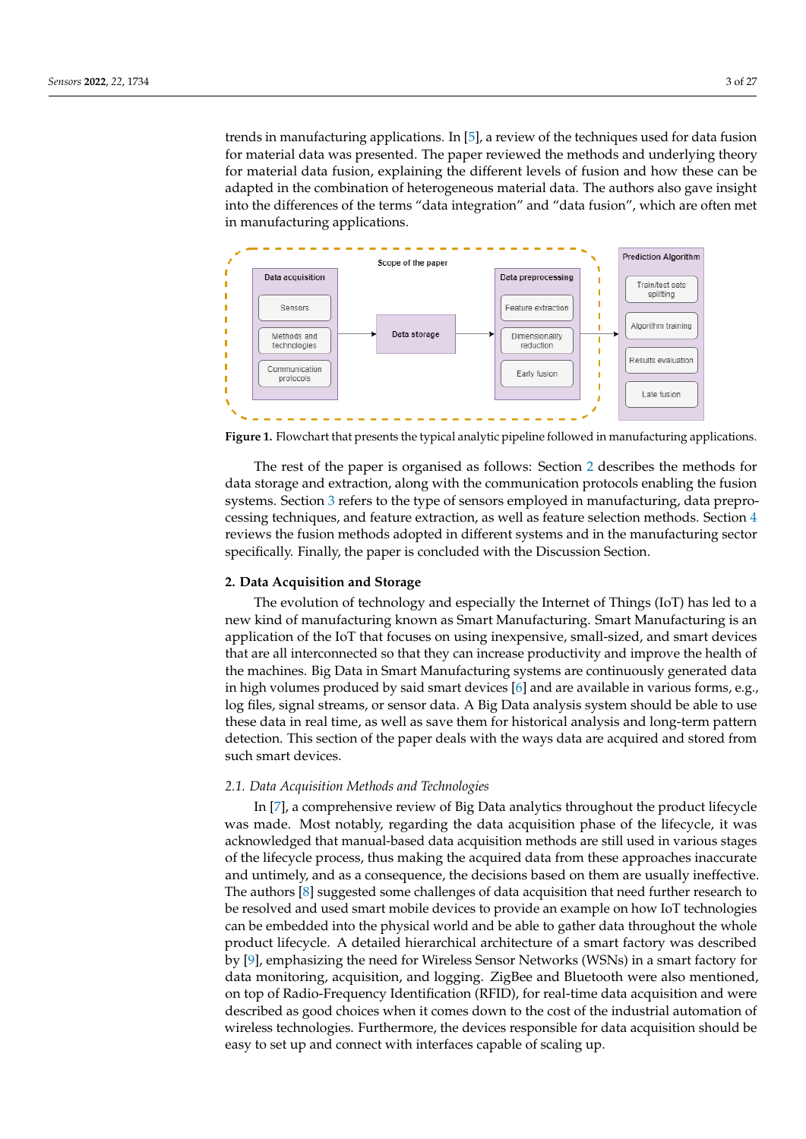trends in manufacturing applications. In [\[5\]](#page-21-4), a review of the techniques used for data fusion for material data was presented. The paper reviewed the methods and underlying theory for material data fusion, explaining the different levels of fusion and how these can be adapted in the combination of heterogeneous material data. The authors also gave insight into the differences of the terms "data integration" and "data fusion", which are often met in manufacturing applications.

<span id="page-2-0"></span>

**Figure 1.** Flowchart that presents the typical analytic pipeline followed in manufacturing applications.

The rest of the paper is organised as follows: Section [2](#page-2-1) describes the methods for data storage and extraction, along with the communication protocols enabling the fusion systems. Section [3](#page-8-0) refers to the type of sensors employed in manufacturing, data preprocessing techniques, and feature extraction, as well as feature selection methods. Section [4](#page-12-0) reviews the fusion methods adopted in different systems and in the manufacturing sector specifically. Finally, the paper is concluded with the Discussion Section.

### <span id="page-2-1"></span>**2. Data Acquisition and Storage**

The evolution of technology and especially the Internet of Things (IoT) has led to a new kind of manufacturing known as Smart Manufacturing. Smart Manufacturing is an application of the IoT that focuses on using inexpensive, small-sized, and smart devices that are all interconnected so that they can increase productivity and improve the health of the machines. Big Data in Smart Manufacturing systems are continuously generated data in high volumes produced by said smart devices [\[6\]](#page-21-5) and are available in various forms, e.g., log files, signal streams, or sensor data. A Big Data analysis system should be able to use these data in real time, as well as save them for historical analysis and long-term pattern detection. This section of the paper deals with the ways data are acquired and stored from such smart devices.

## *2.1. Data Acquisition Methods and Technologies*

In [\[7\]](#page-21-6), a comprehensive review of Big Data analytics throughout the product lifecycle was made. Most notably, regarding the data acquisition phase of the lifecycle, it was acknowledged that manual-based data acquisition methods are still used in various stages of the lifecycle process, thus making the acquired data from these approaches inaccurate and untimely, and as a consequence, the decisions based on them are usually ineffective. The authors [\[8\]](#page-21-7) suggested some challenges of data acquisition that need further research to be resolved and used smart mobile devices to provide an example on how IoT technologies can be embedded into the physical world and be able to gather data throughout the whole product lifecycle. A detailed hierarchical architecture of a smart factory was described by [\[9\]](#page-21-8), emphasizing the need for Wireless Sensor Networks (WSNs) in a smart factory for data monitoring, acquisition, and logging. ZigBee and Bluetooth were also mentioned, on top of Radio-Frequency Identification (RFID), for real-time data acquisition and were described as good choices when it comes down to the cost of the industrial automation of wireless technologies. Furthermore, the devices responsible for data acquisition should be easy to set up and connect with interfaces capable of scaling up.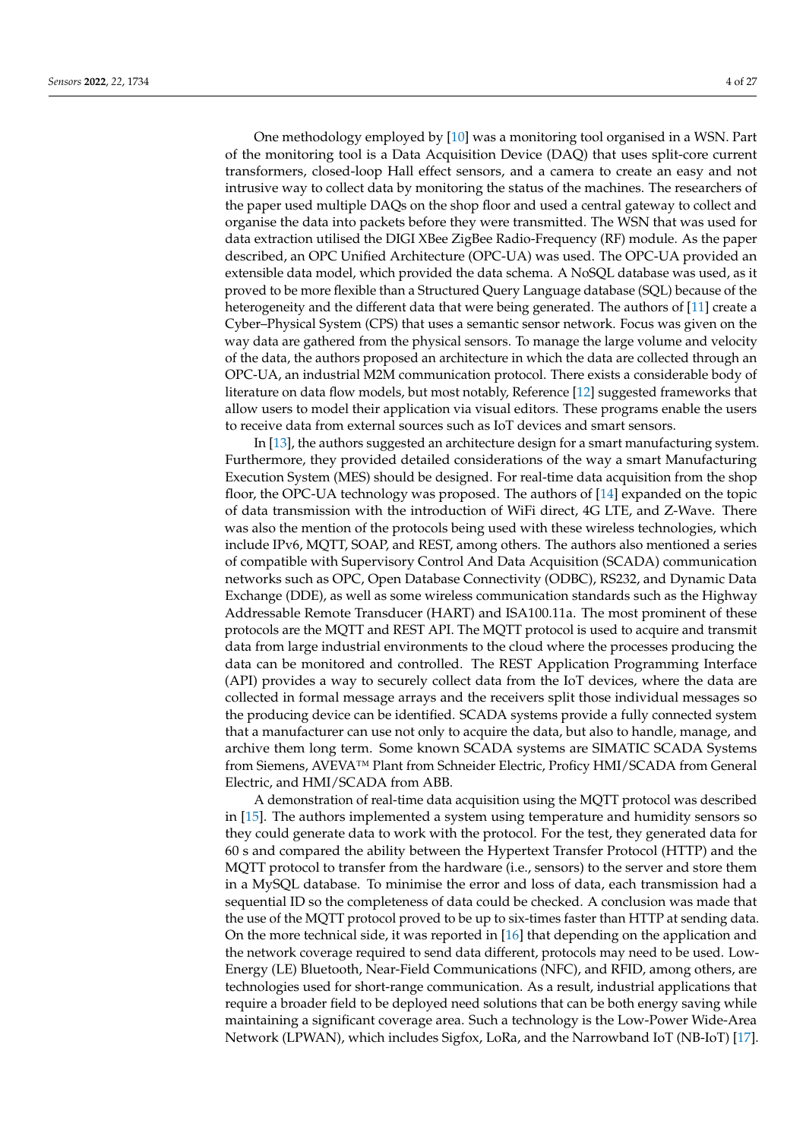One methodology employed by [\[10\]](#page-21-9) was a monitoring tool organised in a WSN. Part of the monitoring tool is a Data Acquisition Device (DAQ) that uses split-core current transformers, closed-loop Hall effect sensors, and a camera to create an easy and not intrusive way to collect data by monitoring the status of the machines. The researchers of the paper used multiple DAQs on the shop floor and used a central gateway to collect and organise the data into packets before they were transmitted. The WSN that was used for data extraction utilised the DIGI XBee ZigBee Radio-Frequency (RF) module. As the paper described, an OPC Unified Architecture (OPC-UA) was used. The OPC-UA provided an extensible data model, which provided the data schema. A NoSQL database was used, as it proved to be more flexible than a Structured Query Language database (SQL) because of the heterogeneity and the different data that were being generated. The authors of [\[11\]](#page-21-10) create a Cyber–Physical System (CPS) that uses a semantic sensor network. Focus was given on the way data are gathered from the physical sensors. To manage the large volume and velocity of the data, the authors proposed an architecture in which the data are collected through an OPC-UA, an industrial M2M communication protocol. There exists a considerable body of literature on data flow models, but most notably, Reference [\[12\]](#page-21-11) suggested frameworks that allow users to model their application via visual editors. These programs enable the users to receive data from external sources such as IoT devices and smart sensors.

In [\[13\]](#page-21-12), the authors suggested an architecture design for a smart manufacturing system. Furthermore, they provided detailed considerations of the way a smart Manufacturing Execution System (MES) should be designed. For real-time data acquisition from the shop floor, the OPC-UA technology was proposed. The authors of [\[14\]](#page-21-13) expanded on the topic of data transmission with the introduction of WiFi direct, 4G LTE, and Z-Wave. There was also the mention of the protocols being used with these wireless technologies, which include IPv6, MQTT, SOAP, and REST, among others. The authors also mentioned a series of compatible with Supervisory Control And Data Acquisition (SCADA) communication networks such as OPC, Open Database Connectivity (ODBC), RS232, and Dynamic Data Exchange (DDE), as well as some wireless communication standards such as the Highway Addressable Remote Transducer (HART) and ISA100.11a. The most prominent of these protocols are the MQTT and REST API. The MQTT protocol is used to acquire and transmit data from large industrial environments to the cloud where the processes producing the data can be monitored and controlled. The REST Application Programming Interface (API) provides a way to securely collect data from the IoT devices, where the data are collected in formal message arrays and the receivers split those individual messages so the producing device can be identified. SCADA systems provide a fully connected system that a manufacturer can use not only to acquire the data, but also to handle, manage, and archive them long term. Some known SCADA systems are SIMATIC SCADA Systems from Siemens, AVEVA™ Plant from Schneider Electric, Proficy HMI/SCADA from General Electric, and HMI/SCADA from ABB.

A demonstration of real-time data acquisition using the MQTT protocol was described in [\[15\]](#page-21-14). The authors implemented a system using temperature and humidity sensors so they could generate data to work with the protocol. For the test, they generated data for 60 s and compared the ability between the Hypertext Transfer Protocol (HTTP) and the MQTT protocol to transfer from the hardware (i.e., sensors) to the server and store them in a MySQL database. To minimise the error and loss of data, each transmission had a sequential ID so the completeness of data could be checked. A conclusion was made that the use of the MQTT protocol proved to be up to six-times faster than HTTP at sending data. On the more technical side, it was reported in [\[16\]](#page-21-15) that depending on the application and the network coverage required to send data different, protocols may need to be used. Low-Energy (LE) Bluetooth, Near-Field Communications (NFC), and RFID, among others, are technologies used for short-range communication. As a result, industrial applications that require a broader field to be deployed need solutions that can be both energy saving while maintaining a significant coverage area. Such a technology is the Low-Power Wide-Area Network (LPWAN), which includes Sigfox, LoRa, and the Narrowband IoT (NB-IoT) [\[17\]](#page-21-16).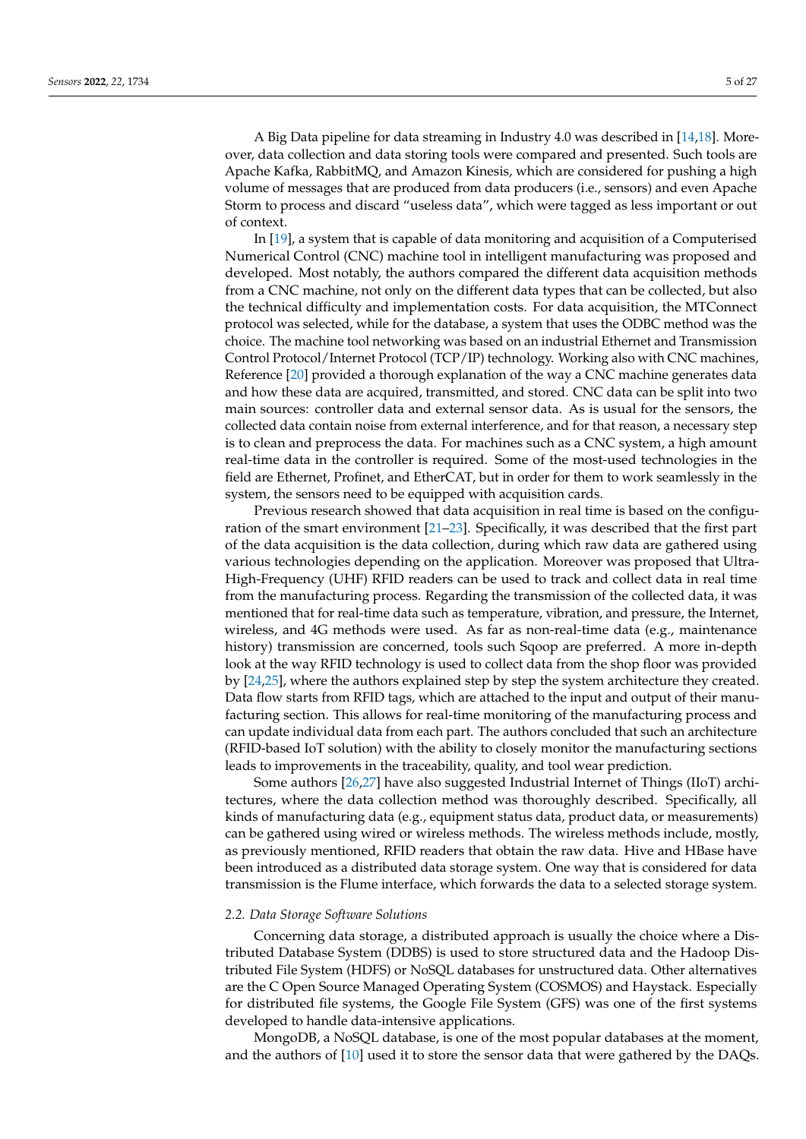A Big Data pipeline for data streaming in Industry 4.0 was described in [\[14](#page-21-13)[,18\]](#page-21-17). Moreover, data collection and data storing tools were compared and presented. Such tools are Apache Kafka, RabbitMQ, and Amazon Kinesis, which are considered for pushing a high volume of messages that are produced from data producers (i.e., sensors) and even Apache Storm to process and discard "useless data", which were tagged as less important or out of context.

In [\[19\]](#page-21-18), a system that is capable of data monitoring and acquisition of a Computerised Numerical Control (CNC) machine tool in intelligent manufacturing was proposed and developed. Most notably, the authors compared the different data acquisition methods from a CNC machine, not only on the different data types that can be collected, but also the technical difficulty and implementation costs. For data acquisition, the MTConnect protocol was selected, while for the database, a system that uses the ODBC method was the choice. The machine tool networking was based on an industrial Ethernet and Transmission Control Protocol/Internet Protocol (TCP/IP) technology. Working also with CNC machines, Reference [\[20\]](#page-21-19) provided a thorough explanation of the way a CNC machine generates data and how these data are acquired, transmitted, and stored. CNC data can be split into two main sources: controller data and external sensor data. As is usual for the sensors, the collected data contain noise from external interference, and for that reason, a necessary step is to clean and preprocess the data. For machines such as a CNC system, a high amount real-time data in the controller is required. Some of the most-used technologies in the field are Ethernet, Profinet, and EtherCAT, but in order for them to work seamlessly in the system, the sensors need to be equipped with acquisition cards.

Previous research showed that data acquisition in real time is based on the configuration of the smart environment [\[21–](#page-21-20)[23\]](#page-22-0). Specifically, it was described that the first part of the data acquisition is the data collection, during which raw data are gathered using various technologies depending on the application. Moreover was proposed that Ultra-High-Frequency (UHF) RFID readers can be used to track and collect data in real time from the manufacturing process. Regarding the transmission of the collected data, it was mentioned that for real-time data such as temperature, vibration, and pressure, the Internet, wireless, and 4G methods were used. As far as non-real-time data (e.g., maintenance history) transmission are concerned, tools such Sqoop are preferred. A more in-depth look at the way RFID technology is used to collect data from the shop floor was provided by [\[24](#page-22-1)[,25\]](#page-22-2), where the authors explained step by step the system architecture they created. Data flow starts from RFID tags, which are attached to the input and output of their manufacturing section. This allows for real-time monitoring of the manufacturing process and can update individual data from each part. The authors concluded that such an architecture (RFID-based IoT solution) with the ability to closely monitor the manufacturing sections leads to improvements in the traceability, quality, and tool wear prediction.

Some authors [\[26](#page-22-3)[,27\]](#page-22-4) have also suggested Industrial Internet of Things (IIoT) architectures, where the data collection method was thoroughly described. Specifically, all kinds of manufacturing data (e.g., equipment status data, product data, or measurements) can be gathered using wired or wireless methods. The wireless methods include, mostly, as previously mentioned, RFID readers that obtain the raw data. Hive and HBase have been introduced as a distributed data storage system. One way that is considered for data transmission is the Flume interface, which forwards the data to a selected storage system.

#### *2.2. Data Storage Software Solutions*

Concerning data storage, a distributed approach is usually the choice where a Distributed Database System (DDBS) is used to store structured data and the Hadoop Distributed File System (HDFS) or NoSQL databases for unstructured data. Other alternatives are the C Open Source Managed Operating System (COSMOS) and Haystack. Especially for distributed file systems, the Google File System (GFS) was one of the first systems developed to handle data-intensive applications.

MongoDB, a NoSQL database, is one of the most popular databases at the moment, and the authors of [\[10\]](#page-21-9) used it to store the sensor data that were gathered by the DAQs.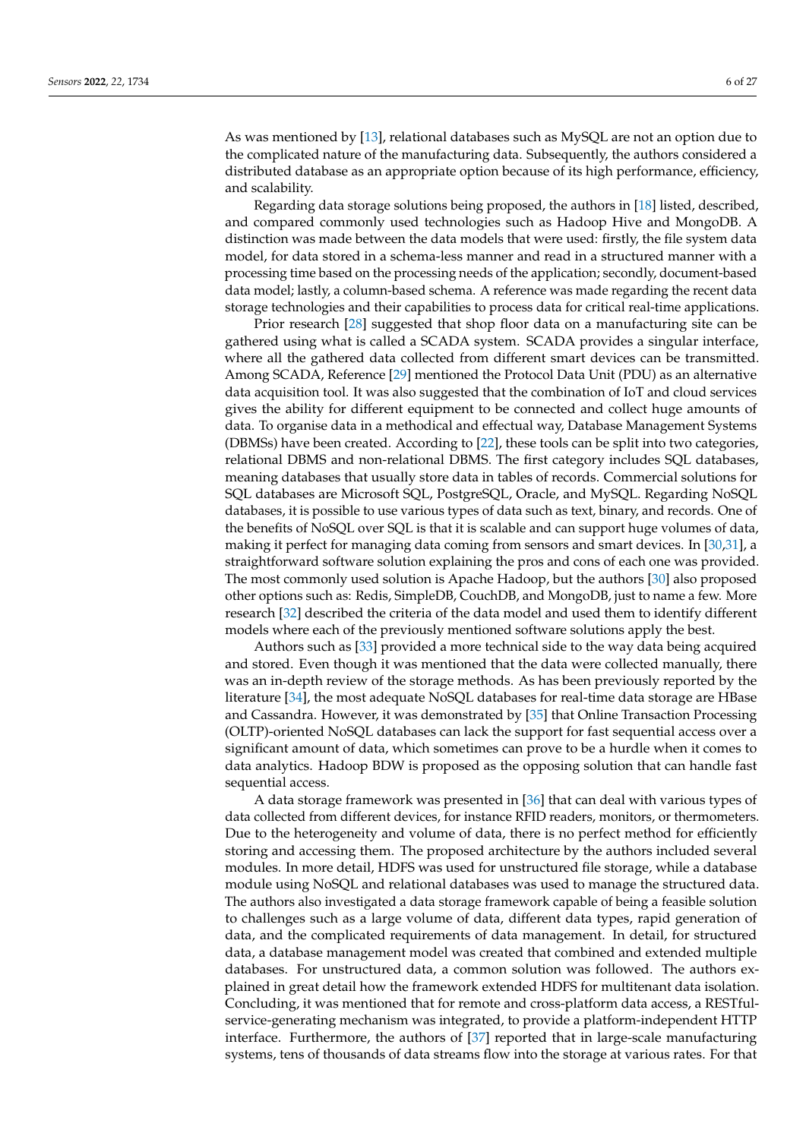As was mentioned by [\[13\]](#page-21-12), relational databases such as MySQL are not an option due to the complicated nature of the manufacturing data. Subsequently, the authors considered a distributed database as an appropriate option because of its high performance, efficiency, and scalability.

Regarding data storage solutions being proposed, the authors in [\[18\]](#page-21-17) listed, described, and compared commonly used technologies such as Hadoop Hive and MongoDB. A distinction was made between the data models that were used: firstly, the file system data model, for data stored in a schema-less manner and read in a structured manner with a processing time based on the processing needs of the application; secondly, document-based data model; lastly, a column-based schema. A reference was made regarding the recent data storage technologies and their capabilities to process data for critical real-time applications.

Prior research [\[28\]](#page-22-5) suggested that shop floor data on a manufacturing site can be gathered using what is called a SCADA system. SCADA provides a singular interface, where all the gathered data collected from different smart devices can be transmitted. Among SCADA, Reference [\[29\]](#page-22-6) mentioned the Protocol Data Unit (PDU) as an alternative data acquisition tool. It was also suggested that the combination of IoT and cloud services gives the ability for different equipment to be connected and collect huge amounts of data. To organise data in a methodical and effectual way, Database Management Systems (DBMSs) have been created. According to [\[22\]](#page-22-7), these tools can be split into two categories, relational DBMS and non-relational DBMS. The first category includes SQL databases, meaning databases that usually store data in tables of records. Commercial solutions for SQL databases are Microsoft SQL, PostgreSQL, Oracle, and MySQL. Regarding NoSQL databases, it is possible to use various types of data such as text, binary, and records. One of the benefits of NoSQL over SQL is that it is scalable and can support huge volumes of data, making it perfect for managing data coming from sensors and smart devices. In [\[30](#page-22-8)[,31\]](#page-22-9), a straightforward software solution explaining the pros and cons of each one was provided. The most commonly used solution is Apache Hadoop, but the authors [\[30\]](#page-22-8) also proposed other options such as: Redis, SimpleDB, CouchDB, and MongoDB, just to name a few. More research [\[32\]](#page-22-10) described the criteria of the data model and used them to identify different models where each of the previously mentioned software solutions apply the best.

Authors such as [\[33\]](#page-22-11) provided a more technical side to the way data being acquired and stored. Even though it was mentioned that the data were collected manually, there was an in-depth review of the storage methods. As has been previously reported by the literature [\[34\]](#page-22-12), the most adequate NoSQL databases for real-time data storage are HBase and Cassandra. However, it was demonstrated by [\[35\]](#page-22-13) that Online Transaction Processing (OLTP)-oriented NoSQL databases can lack the support for fast sequential access over a significant amount of data, which sometimes can prove to be a hurdle when it comes to data analytics. Hadoop BDW is proposed as the opposing solution that can handle fast sequential access.

A data storage framework was presented in [\[36\]](#page-22-14) that can deal with various types of data collected from different devices, for instance RFID readers, monitors, or thermometers. Due to the heterogeneity and volume of data, there is no perfect method for efficiently storing and accessing them. The proposed architecture by the authors included several modules. In more detail, HDFS was used for unstructured file storage, while a database module using NoSQL and relational databases was used to manage the structured data. The authors also investigated a data storage framework capable of being a feasible solution to challenges such as a large volume of data, different data types, rapid generation of data, and the complicated requirements of data management. In detail, for structured data, a database management model was created that combined and extended multiple databases. For unstructured data, a common solution was followed. The authors explained in great detail how the framework extended HDFS for multitenant data isolation. Concluding, it was mentioned that for remote and cross-platform data access, a RESTfulservice-generating mechanism was integrated, to provide a platform-independent HTTP interface. Furthermore, the authors of [\[37\]](#page-22-15) reported that in large-scale manufacturing systems, tens of thousands of data streams flow into the storage at various rates. For that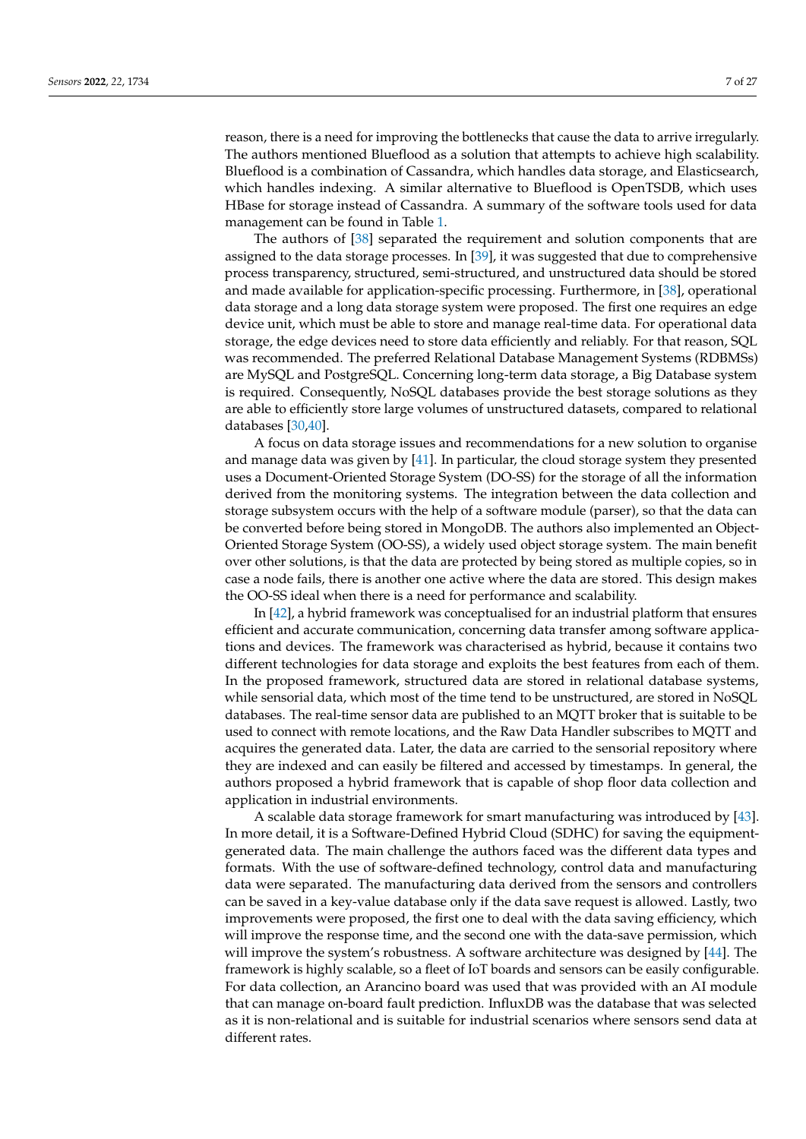reason, there is a need for improving the bottlenecks that cause the data to arrive irregularly. The authors mentioned Blueflood as a solution that attempts to achieve high scalability. Blueflood is a combination of Cassandra, which handles data storage, and Elasticsearch, which handles indexing. A similar alternative to Blueflood is OpenTSDB, which uses HBase for storage instead of Cassandra. A summary of the software tools used for data management can be found in Table [1.](#page-7-0)

The authors of [\[38\]](#page-22-16) separated the requirement and solution components that are assigned to the data storage processes. In [\[39\]](#page-22-17), it was suggested that due to comprehensive process transparency, structured, semi-structured, and unstructured data should be stored and made available for application-specific processing. Furthermore, in [\[38\]](#page-22-16), operational data storage and a long data storage system were proposed. The first one requires an edge device unit, which must be able to store and manage real-time data. For operational data storage, the edge devices need to store data efficiently and reliably. For that reason, SQL was recommended. The preferred Relational Database Management Systems (RDBMSs) are MySQL and PostgreSQL. Concerning long-term data storage, a Big Database system is required. Consequently, NoSQL databases provide the best storage solutions as they are able to efficiently store large volumes of unstructured datasets, compared to relational databases [\[30,](#page-22-8)[40\]](#page-22-18).

A focus on data storage issues and recommendations for a new solution to organise and manage data was given by [\[41\]](#page-22-19). In particular, the cloud storage system they presented uses a Document-Oriented Storage System (DO-SS) for the storage of all the information derived from the monitoring systems. The integration between the data collection and storage subsystem occurs with the help of a software module (parser), so that the data can be converted before being stored in MongoDB. The authors also implemented an Object-Oriented Storage System (OO-SS), a widely used object storage system. The main benefit over other solutions, is that the data are protected by being stored as multiple copies, so in case a node fails, there is another one active where the data are stored. This design makes the OO-SS ideal when there is a need for performance and scalability.

In [\[42\]](#page-22-20), a hybrid framework was conceptualised for an industrial platform that ensures efficient and accurate communication, concerning data transfer among software applications and devices. The framework was characterised as hybrid, because it contains two different technologies for data storage and exploits the best features from each of them. In the proposed framework, structured data are stored in relational database systems, while sensorial data, which most of the time tend to be unstructured, are stored in NoSQL databases. The real-time sensor data are published to an MQTT broker that is suitable to be used to connect with remote locations, and the Raw Data Handler subscribes to MQTT and acquires the generated data. Later, the data are carried to the sensorial repository where they are indexed and can easily be filtered and accessed by timestamps. In general, the authors proposed a hybrid framework that is capable of shop floor data collection and application in industrial environments.

A scalable data storage framework for smart manufacturing was introduced by [\[43\]](#page-22-21). In more detail, it is a Software-Defined Hybrid Cloud (SDHC) for saving the equipmentgenerated data. The main challenge the authors faced was the different data types and formats. With the use of software-defined technology, control data and manufacturing data were separated. The manufacturing data derived from the sensors and controllers can be saved in a key-value database only if the data save request is allowed. Lastly, two improvements were proposed, the first one to deal with the data saving efficiency, which will improve the response time, and the second one with the data-save permission, which will improve the system's robustness. A software architecture was designed by [\[44\]](#page-22-22). The framework is highly scalable, so a fleet of IoT boards and sensors can be easily configurable. For data collection, an Arancino board was used that was provided with an AI module that can manage on-board fault prediction. InfluxDB was the database that was selected as it is non-relational and is suitable for industrial scenarios where sensors send data at different rates.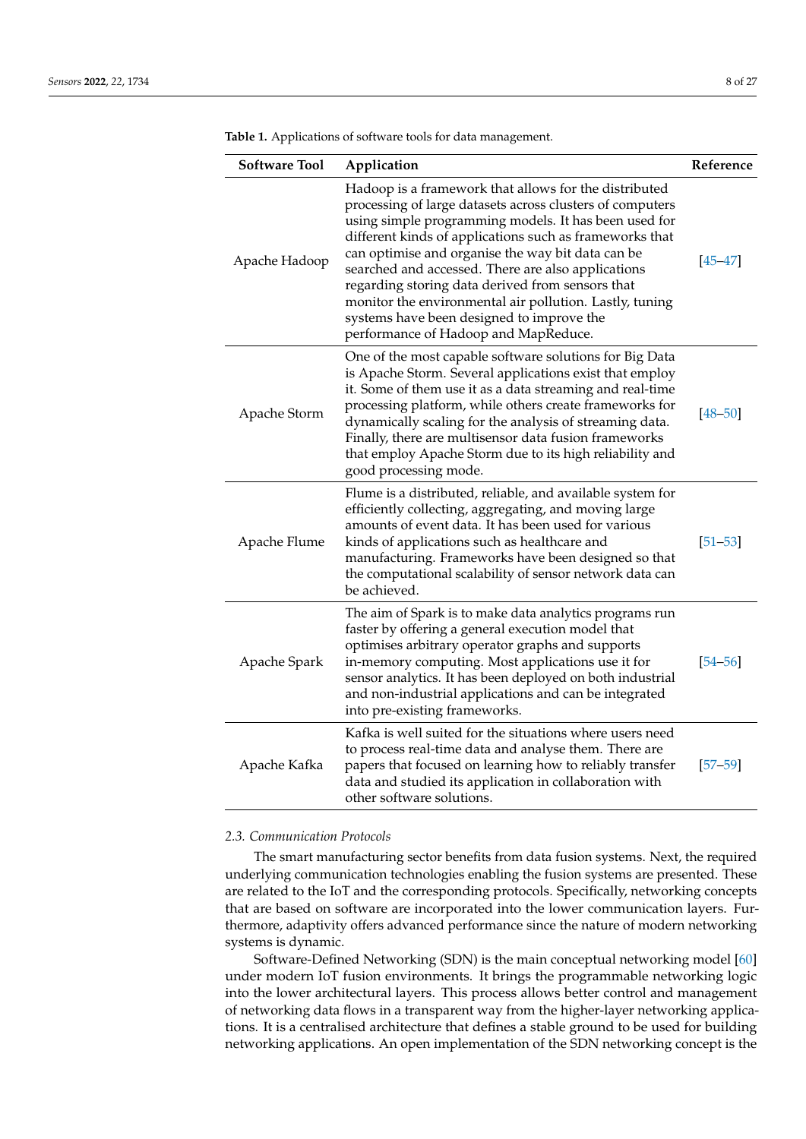| <b>Software Tool</b> | Application                                                                                                                                                                                                                                                                                                                                                                                                                                                                                                                                           | Reference   |
|----------------------|-------------------------------------------------------------------------------------------------------------------------------------------------------------------------------------------------------------------------------------------------------------------------------------------------------------------------------------------------------------------------------------------------------------------------------------------------------------------------------------------------------------------------------------------------------|-------------|
| Apache Hadoop        | Hadoop is a framework that allows for the distributed<br>processing of large datasets across clusters of computers<br>using simple programming models. It has been used for<br>different kinds of applications such as frameworks that<br>can optimise and organise the way bit data can be<br>searched and accessed. There are also applications<br>regarding storing data derived from sensors that<br>monitor the environmental air pollution. Lastly, tuning<br>systems have been designed to improve the<br>performance of Hadoop and MapReduce. | $[45 - 47]$ |
| Apache Storm         | One of the most capable software solutions for Big Data<br>is Apache Storm. Several applications exist that employ<br>it. Some of them use it as a data streaming and real-time<br>processing platform, while others create frameworks for<br>dynamically scaling for the analysis of streaming data.<br>Finally, there are multisensor data fusion frameworks<br>that employ Apache Storm due to its high reliability and<br>good processing mode.                                                                                                   | $[48 - 50]$ |
| Apache Flume         | Flume is a distributed, reliable, and available system for<br>efficiently collecting, aggregating, and moving large<br>amounts of event data. It has been used for various<br>kinds of applications such as healthcare and<br>manufacturing. Frameworks have been designed so that<br>the computational scalability of sensor network data can<br>be achieved.                                                                                                                                                                                        | $[51 - 53]$ |
| Apache Spark         | The aim of Spark is to make data analytics programs run<br>faster by offering a general execution model that<br>optimises arbitrary operator graphs and supports<br>in-memory computing. Most applications use it for<br>sensor analytics. It has been deployed on both industrial<br>and non-industrial applications and can be integrated<br>into pre-existing frameworks.                                                                                                                                                                          | $[54 - 56]$ |
| Apache Kafka         | Kafka is well suited for the situations where users need<br>to process real-time data and analyse them. There are<br>papers that focused on learning how to reliably transfer<br>data and studied its application in collaboration with<br>other software solutions.                                                                                                                                                                                                                                                                                  | $[57 - 59]$ |

<span id="page-7-0"></span>**Table 1.** Applications of software tools for data management.

## *2.3. Communication Protocols*

The smart manufacturing sector benefits from data fusion systems. Next, the required underlying communication technologies enabling the fusion systems are presented. These are related to the IoT and the corresponding protocols. Specifically, networking concepts that are based on software are incorporated into the lower communication layers. Furthermore, adaptivity offers advanced performance since the nature of modern networking systems is dynamic.

Software-Defined Networking (SDN) is the main conceptual networking model [\[60\]](#page-23-6) under modern IoT fusion environments. It brings the programmable networking logic into the lower architectural layers. This process allows better control and management of networking data flows in a transparent way from the higher-layer networking applications. It is a centralised architecture that defines a stable ground to be used for building networking applications. An open implementation of the SDN networking concept is the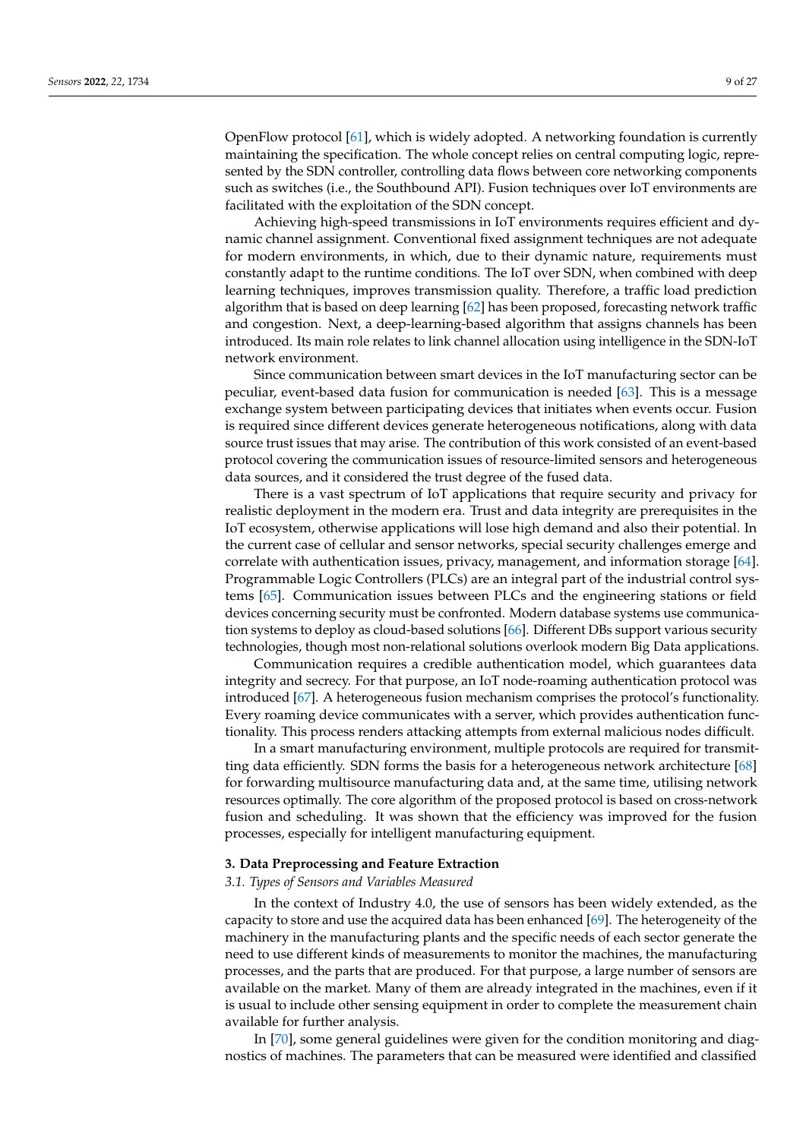OpenFlow protocol [\[61\]](#page-23-7), which is widely adopted. A networking foundation is currently maintaining the specification. The whole concept relies on central computing logic, represented by the SDN controller, controlling data flows between core networking components such as switches (i.e., the Southbound API). Fusion techniques over IoT environments are facilitated with the exploitation of the SDN concept.

Achieving high-speed transmissions in IoT environments requires efficient and dynamic channel assignment. Conventional fixed assignment techniques are not adequate for modern environments, in which, due to their dynamic nature, requirements must constantly adapt to the runtime conditions. The IoT over SDN, when combined with deep learning techniques, improves transmission quality. Therefore, a traffic load prediction algorithm that is based on deep learning [\[62\]](#page-23-8) has been proposed, forecasting network traffic and congestion. Next, a deep-learning-based algorithm that assigns channels has been introduced. Its main role relates to link channel allocation using intelligence in the SDN-IoT network environment.

Since communication between smart devices in the IoT manufacturing sector can be peculiar, event-based data fusion for communication is needed [\[63\]](#page-23-9). This is a message exchange system between participating devices that initiates when events occur. Fusion is required since different devices generate heterogeneous notifications, along with data source trust issues that may arise. The contribution of this work consisted of an event-based protocol covering the communication issues of resource-limited sensors and heterogeneous data sources, and it considered the trust degree of the fused data.

There is a vast spectrum of IoT applications that require security and privacy for realistic deployment in the modern era. Trust and data integrity are prerequisites in the IoT ecosystem, otherwise applications will lose high demand and also their potential. In the current case of cellular and sensor networks, special security challenges emerge and correlate with authentication issues, privacy, management, and information storage [\[64\]](#page-23-10). Programmable Logic Controllers (PLCs) are an integral part of the industrial control systems [\[65\]](#page-23-11). Communication issues between PLCs and the engineering stations or field devices concerning security must be confronted. Modern database systems use communication systems to deploy as cloud-based solutions [\[66\]](#page-23-12). Different DBs support various security technologies, though most non-relational solutions overlook modern Big Data applications.

Communication requires a credible authentication model, which guarantees data integrity and secrecy. For that purpose, an IoT node-roaming authentication protocol was introduced [\[67\]](#page-23-13). A heterogeneous fusion mechanism comprises the protocol's functionality. Every roaming device communicates with a server, which provides authentication functionality. This process renders attacking attempts from external malicious nodes difficult.

In a smart manufacturing environment, multiple protocols are required for transmitting data efficiently. SDN forms the basis for a heterogeneous network architecture [\[68\]](#page-23-14) for forwarding multisource manufacturing data and, at the same time, utilising network resources optimally. The core algorithm of the proposed protocol is based on cross-network fusion and scheduling. It was shown that the efficiency was improved for the fusion processes, especially for intelligent manufacturing equipment.

#### <span id="page-8-0"></span>**3. Data Preprocessing and Feature Extraction**

### <span id="page-8-1"></span>*3.1. Types of Sensors and Variables Measured*

In the context of Industry 4.0, the use of sensors has been widely extended, as the capacity to store and use the acquired data has been enhanced [\[69\]](#page-23-15). The heterogeneity of the machinery in the manufacturing plants and the specific needs of each sector generate the need to use different kinds of measurements to monitor the machines, the manufacturing processes, and the parts that are produced. For that purpose, a large number of sensors are available on the market. Many of them are already integrated in the machines, even if it is usual to include other sensing equipment in order to complete the measurement chain available for further analysis.

In [\[70\]](#page-23-16), some general guidelines were given for the condition monitoring and diagnostics of machines. The parameters that can be measured were identified and classified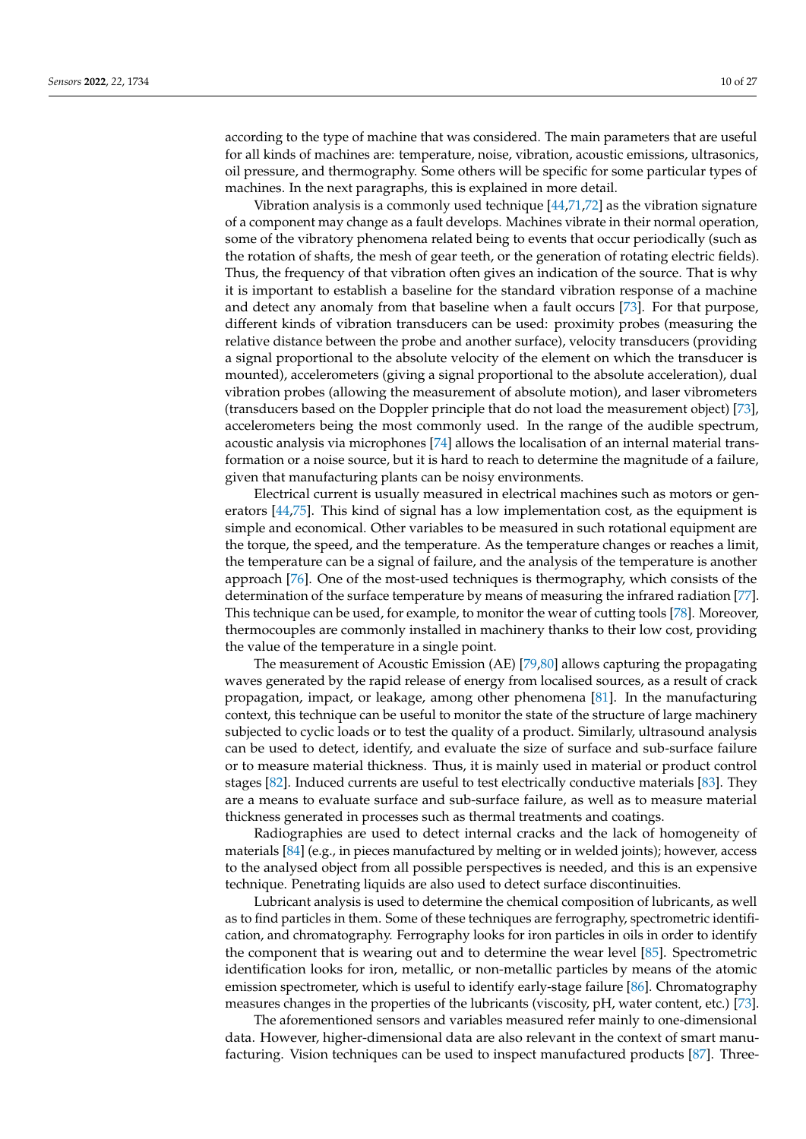according to the type of machine that was considered. The main parameters that are useful for all kinds of machines are: temperature, noise, vibration, acoustic emissions, ultrasonics, oil pressure, and thermography. Some others will be specific for some particular types of machines. In the next paragraphs, this is explained in more detail.

Vibration analysis is a commonly used technique  $[44,71,72]$  $[44,71,72]$  $[44,71,72]$  as the vibration signature of a component may change as a fault develops. Machines vibrate in their normal operation, some of the vibratory phenomena related being to events that occur periodically (such as the rotation of shafts, the mesh of gear teeth, or the generation of rotating electric fields). Thus, the frequency of that vibration often gives an indication of the source. That is why it is important to establish a baseline for the standard vibration response of a machine and detect any anomaly from that baseline when a fault occurs [\[73\]](#page-23-19). For that purpose, different kinds of vibration transducers can be used: proximity probes (measuring the relative distance between the probe and another surface), velocity transducers (providing a signal proportional to the absolute velocity of the element on which the transducer is mounted), accelerometers (giving a signal proportional to the absolute acceleration), dual vibration probes (allowing the measurement of absolute motion), and laser vibrometers (transducers based on the Doppler principle that do not load the measurement object) [\[73\]](#page-23-19), accelerometers being the most commonly used. In the range of the audible spectrum, acoustic analysis via microphones [\[74\]](#page-23-20) allows the localisation of an internal material transformation or a noise source, but it is hard to reach to determine the magnitude of a failure, given that manufacturing plants can be noisy environments.

Electrical current is usually measured in electrical machines such as motors or generators [\[44,](#page-22-22)[75\]](#page-23-21). This kind of signal has a low implementation cost, as the equipment is simple and economical. Other variables to be measured in such rotational equipment are the torque, the speed, and the temperature. As the temperature changes or reaches a limit, the temperature can be a signal of failure, and the analysis of the temperature is another approach [\[76\]](#page-23-22). One of the most-used techniques is thermography, which consists of the determination of the surface temperature by means of measuring the infrared radiation [\[77\]](#page-23-23). This technique can be used, for example, to monitor the wear of cutting tools [\[78\]](#page-23-24). Moreover, thermocouples are commonly installed in machinery thanks to their low cost, providing the value of the temperature in a single point.

The measurement of Acoustic Emission (AE) [\[79](#page-24-0)[,80\]](#page-24-1) allows capturing the propagating waves generated by the rapid release of energy from localised sources, as a result of crack propagation, impact, or leakage, among other phenomena [\[81\]](#page-24-2). In the manufacturing context, this technique can be useful to monitor the state of the structure of large machinery subjected to cyclic loads or to test the quality of a product. Similarly, ultrasound analysis can be used to detect, identify, and evaluate the size of surface and sub-surface failure or to measure material thickness. Thus, it is mainly used in material or product control stages [\[82\]](#page-24-3). Induced currents are useful to test electrically conductive materials [\[83\]](#page-24-4). They are a means to evaluate surface and sub-surface failure, as well as to measure material thickness generated in processes such as thermal treatments and coatings.

Radiographies are used to detect internal cracks and the lack of homogeneity of materials [\[84\]](#page-24-5) (e.g., in pieces manufactured by melting or in welded joints); however, access to the analysed object from all possible perspectives is needed, and this is an expensive technique. Penetrating liquids are also used to detect surface discontinuities.

Lubricant analysis is used to determine the chemical composition of lubricants, as well as to find particles in them. Some of these techniques are ferrography, spectrometric identification, and chromatography. Ferrography looks for iron particles in oils in order to identify the component that is wearing out and to determine the wear level [\[85\]](#page-24-6). Spectrometric identification looks for iron, metallic, or non-metallic particles by means of the atomic emission spectrometer, which is useful to identify early-stage failure [\[86\]](#page-24-7). Chromatography measures changes in the properties of the lubricants (viscosity, pH, water content, etc.) [\[73\]](#page-23-19).

The aforementioned sensors and variables measured refer mainly to one-dimensional data. However, higher-dimensional data are also relevant in the context of smart manufacturing. Vision techniques can be used to inspect manufactured products [\[87\]](#page-24-8). Three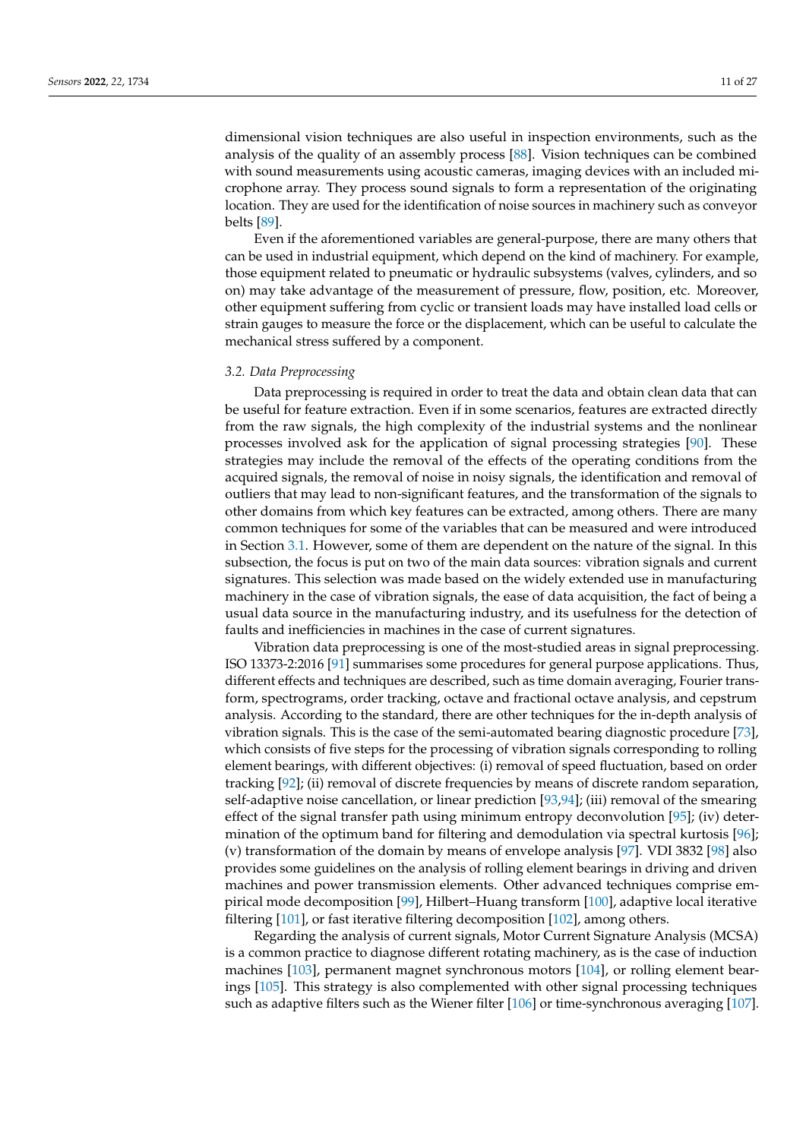dimensional vision techniques are also useful in inspection environments, such as the analysis of the quality of an assembly process [\[88\]](#page-24-9). Vision techniques can be combined with sound measurements using acoustic cameras, imaging devices with an included microphone array. They process sound signals to form a representation of the originating location. They are used for the identification of noise sources in machinery such as conveyor belts [\[89\]](#page-24-10).

Even if the aforementioned variables are general-purpose, there are many others that can be used in industrial equipment, which depend on the kind of machinery. For example, those equipment related to pneumatic or hydraulic subsystems (valves, cylinders, and so on) may take advantage of the measurement of pressure, flow, position, etc. Moreover, other equipment suffering from cyclic or transient loads may have installed load cells or strain gauges to measure the force or the displacement, which can be useful to calculate the mechanical stress suffered by a component.

#### *3.2. Data Preprocessing*

Data preprocessing is required in order to treat the data and obtain clean data that can be useful for feature extraction. Even if in some scenarios, features are extracted directly from the raw signals, the high complexity of the industrial systems and the nonlinear processes involved ask for the application of signal processing strategies [\[90\]](#page-24-11). These strategies may include the removal of the effects of the operating conditions from the acquired signals, the removal of noise in noisy signals, the identification and removal of outliers that may lead to non-significant features, and the transformation of the signals to other domains from which key features can be extracted, among others. There are many common techniques for some of the variables that can be measured and were introduced in Section [3.1.](#page-8-1) However, some of them are dependent on the nature of the signal. In this subsection, the focus is put on two of the main data sources: vibration signals and current signatures. This selection was made based on the widely extended use in manufacturing machinery in the case of vibration signals, the ease of data acquisition, the fact of being a usual data source in the manufacturing industry, and its usefulness for the detection of faults and inefficiencies in machines in the case of current signatures.

Vibration data preprocessing is one of the most-studied areas in signal preprocessing. ISO 13373-2:2016 [\[91\]](#page-24-12) summarises some procedures for general purpose applications. Thus, different effects and techniques are described, such as time domain averaging, Fourier transform, spectrograms, order tracking, octave and fractional octave analysis, and cepstrum analysis. According to the standard, there are other techniques for the in-depth analysis of vibration signals. This is the case of the semi-automated bearing diagnostic procedure [\[73\]](#page-23-19), which consists of five steps for the processing of vibration signals corresponding to rolling element bearings, with different objectives: (i) removal of speed fluctuation, based on order tracking [\[92\]](#page-24-13); (ii) removal of discrete frequencies by means of discrete random separation, self-adaptive noise cancellation, or linear prediction [\[93,](#page-24-14)[94\]](#page-24-15); (iii) removal of the smearing effect of the signal transfer path using minimum entropy deconvolution [\[95\]](#page-24-16); (iv) determination of the optimum band for filtering and demodulation via spectral kurtosis [\[96\]](#page-24-17); (v) transformation of the domain by means of envelope analysis [\[97\]](#page-24-18). VDI 3832 [\[98\]](#page-24-19) also provides some guidelines on the analysis of rolling element bearings in driving and driven machines and power transmission elements. Other advanced techniques comprise empirical mode decomposition [\[99\]](#page-24-20), Hilbert–Huang transform [\[100\]](#page-24-21), adaptive local iterative filtering [\[101\]](#page-24-22), or fast iterative filtering decomposition [\[102\]](#page-24-23), among others.

Regarding the analysis of current signals, Motor Current Signature Analysis (MCSA) is a common practice to diagnose different rotating machinery, as is the case of induction machines [\[103\]](#page-24-24), permanent magnet synchronous motors [\[104\]](#page-24-25), or rolling element bearings [\[105\]](#page-24-26). This strategy is also complemented with other signal processing techniques such as adaptive filters such as the Wiener filter [\[106\]](#page-24-27) or time-synchronous averaging [\[107\]](#page-24-28).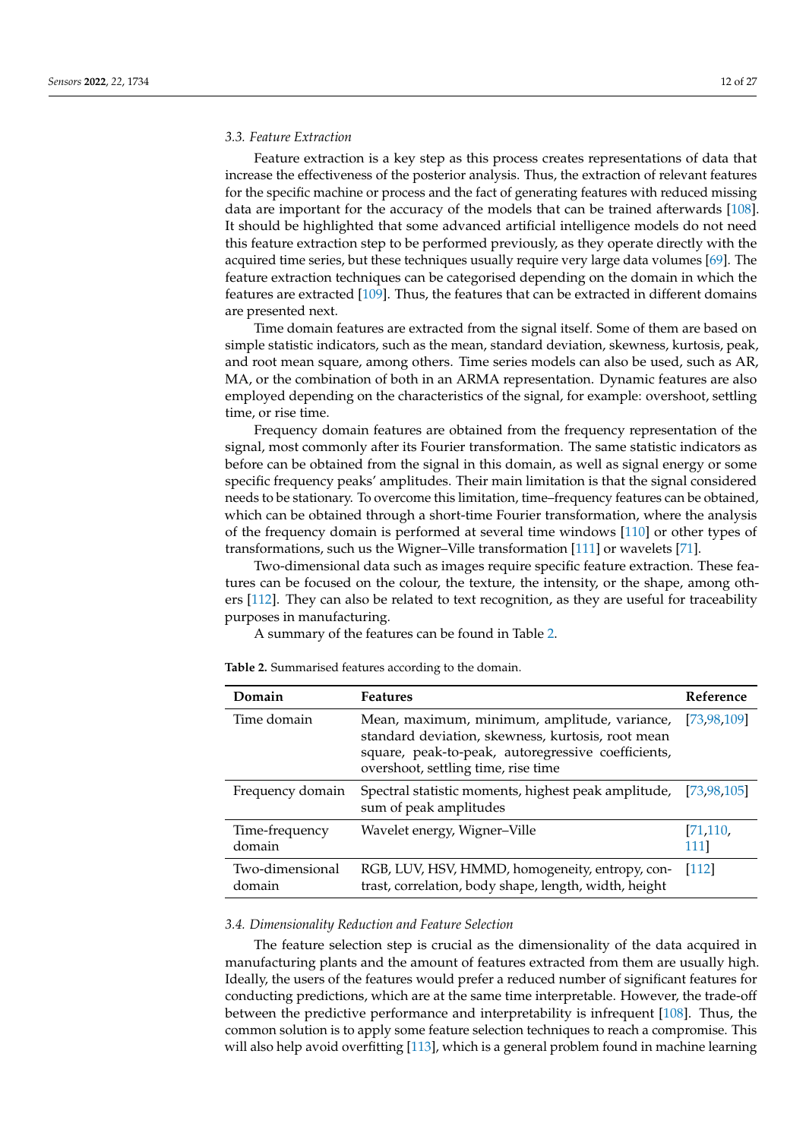## *3.3. Feature Extraction*

Feature extraction is a key step as this process creates representations of data that increase the effectiveness of the posterior analysis. Thus, the extraction of relevant features for the specific machine or process and the fact of generating features with reduced missing data are important for the accuracy of the models that can be trained afterwards [\[108\]](#page-25-0). It should be highlighted that some advanced artificial intelligence models do not need this feature extraction step to be performed previously, as they operate directly with the acquired time series, but these techniques usually require very large data volumes [\[69\]](#page-23-15). The feature extraction techniques can be categorised depending on the domain in which the features are extracted [\[109\]](#page-25-1). Thus, the features that can be extracted in different domains are presented next.

Time domain features are extracted from the signal itself. Some of them are based on simple statistic indicators, such as the mean, standard deviation, skewness, kurtosis, peak, and root mean square, among others. Time series models can also be used, such as AR, MA, or the combination of both in an ARMA representation. Dynamic features are also employed depending on the characteristics of the signal, for example: overshoot, settling time, or rise time.

Frequency domain features are obtained from the frequency representation of the signal, most commonly after its Fourier transformation. The same statistic indicators as before can be obtained from the signal in this domain, as well as signal energy or some specific frequency peaks' amplitudes. Their main limitation is that the signal considered needs to be stationary. To overcome this limitation, time–frequency features can be obtained, which can be obtained through a short-time Fourier transformation, where the analysis of the frequency domain is performed at several time windows [\[110\]](#page-25-2) or other types of transformations, such us the Wigner–Ville transformation [\[111\]](#page-25-3) or wavelets [\[71\]](#page-23-17).

Two-dimensional data such as images require specific feature extraction. These features can be focused on the colour, the texture, the intensity, or the shape, among others [\[112\]](#page-25-4). They can also be related to text recognition, as they are useful for traceability purposes in manufacturing.

A summary of the features can be found in Table [2.](#page-11-0)

**Domain Features Reference** Time domain Mean, maximum, minimum, amplitude, variance, standard deviation, skewness, kurtosis, root mean square, peak-to-peak, autoregressive coefficients, overshoot, settling time, rise time [\[73](#page-23-19)[,98](#page-24-19)[,109\]](#page-25-1) Frequency domain Spectral statistic moments, highest peak amplitude, sum of peak amplitudes [\[73](#page-23-19)[,98](#page-24-19)[,105\]](#page-24-26) Time-frequency domain Wavelet energy, Wigner–Ville [\[71,](#page-23-17)[110,](#page-25-2) [111\]](#page-25-3) Two-dimensional domain RGB, LUV, HSV, HMMD, homogeneity, entropy, contrast, correlation, body shape, length, width, height [\[112\]](#page-25-4)

<span id="page-11-0"></span>**Table 2.** Summarised features according to the domain.

#### *3.4. Dimensionality Reduction and Feature Selection*

The feature selection step is crucial as the dimensionality of the data acquired in manufacturing plants and the amount of features extracted from them are usually high. Ideally, the users of the features would prefer a reduced number of significant features for conducting predictions, which are at the same time interpretable. However, the trade-off between the predictive performance and interpretability is infrequent [\[108\]](#page-25-0). Thus, the common solution is to apply some feature selection techniques to reach a compromise. This will also help avoid overfitting [\[113\]](#page-25-5), which is a general problem found in machine learning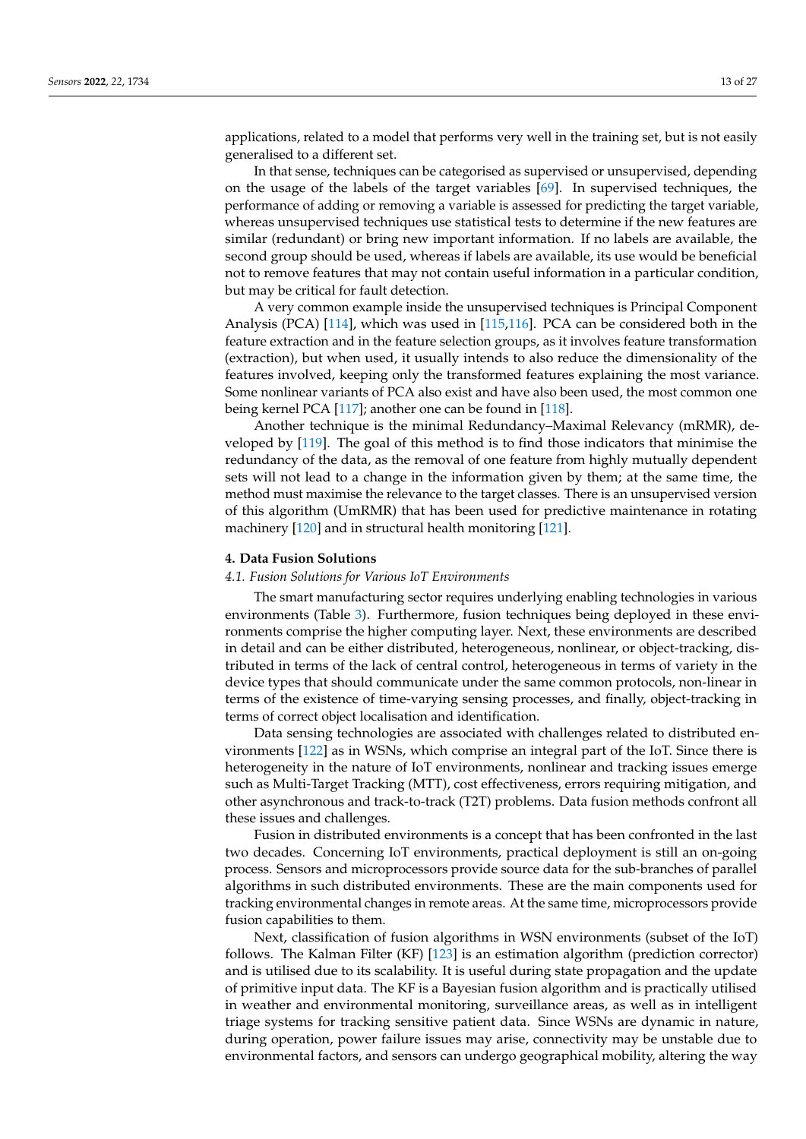applications, related to a model that performs very well in the training set, but is not easily generalised to a different set.

In that sense, techniques can be categorised as supervised or unsupervised, depending on the usage of the labels of the target variables [\[69\]](#page-23-15). In supervised techniques, the performance of adding or removing a variable is assessed for predicting the target variable, whereas unsupervised techniques use statistical tests to determine if the new features are similar (redundant) or bring new important information. If no labels are available, the second group should be used, whereas if labels are available, its use would be beneficial not to remove features that may not contain useful information in a particular condition, but may be critical for fault detection.

A very common example inside the unsupervised techniques is Principal Component Analysis (PCA) [\[114\]](#page-25-6), which was used in [\[115,](#page-25-7)[116\]](#page-25-8). PCA can be considered both in the feature extraction and in the feature selection groups, as it involves feature transformation (extraction), but when used, it usually intends to also reduce the dimensionality of the features involved, keeping only the transformed features explaining the most variance. Some nonlinear variants of PCA also exist and have also been used, the most common one being kernel PCA [\[117\]](#page-25-9); another one can be found in [\[118\]](#page-25-10).

Another technique is the minimal Redundancy–Maximal Relevancy (mRMR), developed by [\[119\]](#page-25-11). The goal of this method is to find those indicators that minimise the redundancy of the data, as the removal of one feature from highly mutually dependent sets will not lead to a change in the information given by them; at the same time, the method must maximise the relevance to the target classes. There is an unsupervised version of this algorithm (UmRMR) that has been used for predictive maintenance in rotating machinery [\[120\]](#page-25-12) and in structural health monitoring [\[121\]](#page-25-13).

## <span id="page-12-0"></span>**4. Data Fusion Solutions**

#### *4.1. Fusion Solutions for Various IoT Environments*

The smart manufacturing sector requires underlying enabling technologies in various environments (Table [3\)](#page-13-0). Furthermore, fusion techniques being deployed in these environments comprise the higher computing layer. Next, these environments are described in detail and can be either distributed, heterogeneous, nonlinear, or object-tracking, distributed in terms of the lack of central control, heterogeneous in terms of variety in the device types that should communicate under the same common protocols, non-linear in terms of the existence of time-varying sensing processes, and finally, object-tracking in terms of correct object localisation and identification.

Data sensing technologies are associated with challenges related to distributed environments [\[122\]](#page-25-14) as in WSNs, which comprise an integral part of the IoT. Since there is heterogeneity in the nature of IoT environments, nonlinear and tracking issues emerge such as Multi-Target Tracking (MTT), cost effectiveness, errors requiring mitigation, and other asynchronous and track-to-track (T2T) problems. Data fusion methods confront all these issues and challenges.

Fusion in distributed environments is a concept that has been confronted in the last two decades. Concerning IoT environments, practical deployment is still an on-going process. Sensors and microprocessors provide source data for the sub-branches of parallel algorithms in such distributed environments. These are the main components used for tracking environmental changes in remote areas. At the same time, microprocessors provide fusion capabilities to them.

Next, classification of fusion algorithms in WSN environments (subset of the IoT) follows. The Kalman Filter (KF) [\[123\]](#page-25-15) is an estimation algorithm (prediction corrector) and is utilised due to its scalability. It is useful during state propagation and the update of primitive input data. The KF is a Bayesian fusion algorithm and is practically utilised in weather and environmental monitoring, surveillance areas, as well as in intelligent triage systems for tracking sensitive patient data. Since WSNs are dynamic in nature, during operation, power failure issues may arise, connectivity may be unstable due to environmental factors, and sensors can undergo geographical mobility, altering the way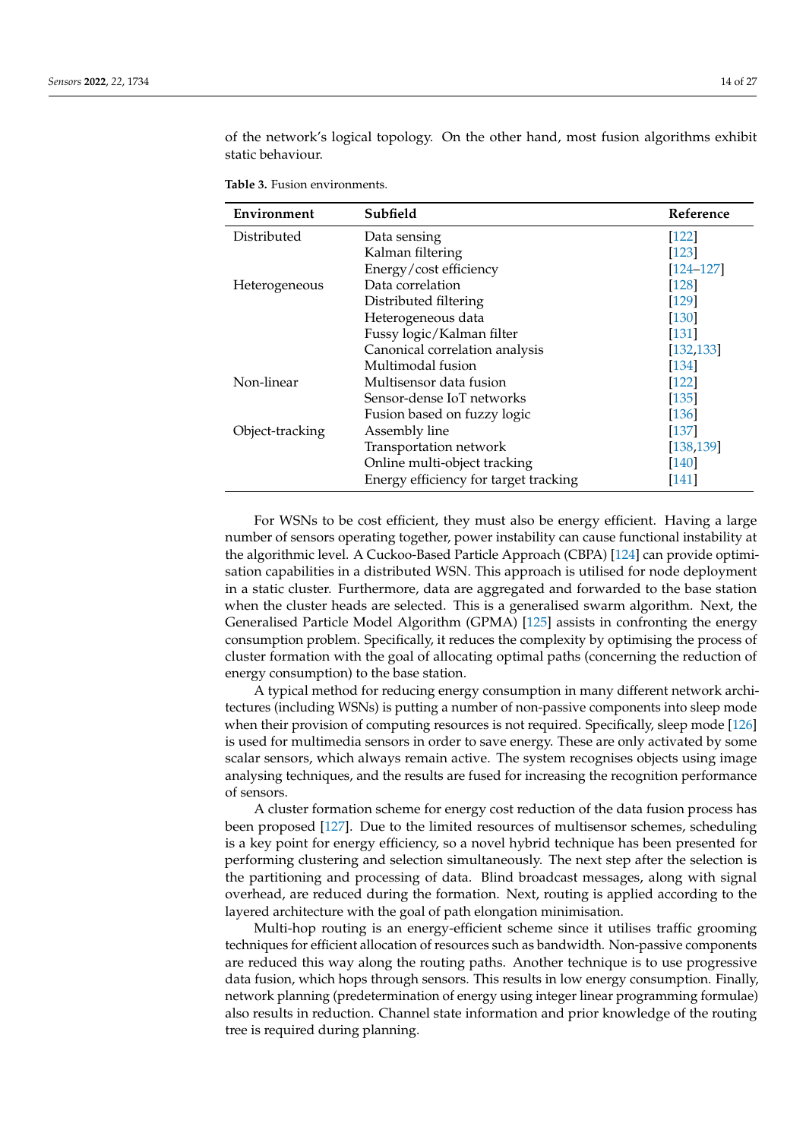of the network's logical topology. On the other hand, most fusion algorithms exhibit static behaviour.

| Environment     | Subfield                              | Reference           |
|-----------------|---------------------------------------|---------------------|
| Distributed     | Data sensing                          | $[122]$             |
|                 | Kalman filtering                      | $[123]$             |
|                 | Energy/cost efficiency                | $[124 - 127]$       |
| Heterogeneous   | Data correlation                      | $[128]$             |
|                 | Distributed filtering                 | $[129]$             |
|                 | Heterogeneous data                    | $[130]$             |
|                 | Fussy logic/Kalman filter             | $[131]$             |
|                 | Canonical correlation analysis        | [132, 133]          |
|                 | Multimodal fusion                     | $[134]$             |
| Non-linear      | Multisensor data fusion               | $[122]$             |
|                 | Sensor-dense IoT networks             | $[135]$             |
|                 | Fusion based on fuzzy logic           | $[136]$             |
| Object-tracking | Assembly line                         | $[137]$             |
|                 | Transportation network                | [138, 139]          |
|                 | Online multi-object tracking          | $\lceil 140 \rceil$ |
|                 | Energy efficiency for target tracking | $[141]$             |
|                 |                                       |                     |

<span id="page-13-0"></span>**Table 3.** Fusion environments.

For WSNs to be cost efficient, they must also be energy efficient. Having a large number of sensors operating together, power instability can cause functional instability at the algorithmic level. A Cuckoo-Based Particle Approach (CBPA) [\[124\]](#page-25-16) can provide optimisation capabilities in a distributed WSN. This approach is utilised for node deployment in a static cluster. Furthermore, data are aggregated and forwarded to the base station when the cluster heads are selected. This is a generalised swarm algorithm. Next, the Generalised Particle Model Algorithm (GPMA) [\[125\]](#page-25-28) assists in confronting the energy consumption problem. Specifically, it reduces the complexity by optimising the process of cluster formation with the goal of allocating optimal paths (concerning the reduction of energy consumption) to the base station.

A typical method for reducing energy consumption in many different network architectures (including WSNs) is putting a number of non-passive components into sleep mode when their provision of computing resources is not required. Specifically, sleep mode [\[126\]](#page-25-29) is used for multimedia sensors in order to save energy. These are only activated by some scalar sensors, which always remain active. The system recognises objects using image analysing techniques, and the results are fused for increasing the recognition performance of sensors.

A cluster formation scheme for energy cost reduction of the data fusion process has been proposed [\[127\]](#page-25-17). Due to the limited resources of multisensor schemes, scheduling is a key point for energy efficiency, so a novel hybrid technique has been presented for performing clustering and selection simultaneously. The next step after the selection is the partitioning and processing of data. Blind broadcast messages, along with signal overhead, are reduced during the formation. Next, routing is applied according to the layered architecture with the goal of path elongation minimisation.

Multi-hop routing is an energy-efficient scheme since it utilises traffic grooming techniques for efficient allocation of resources such as bandwidth. Non-passive components are reduced this way along the routing paths. Another technique is to use progressive data fusion, which hops through sensors. This results in low energy consumption. Finally, network planning (predetermination of energy using integer linear programming formulae) also results in reduction. Channel state information and prior knowledge of the routing tree is required during planning.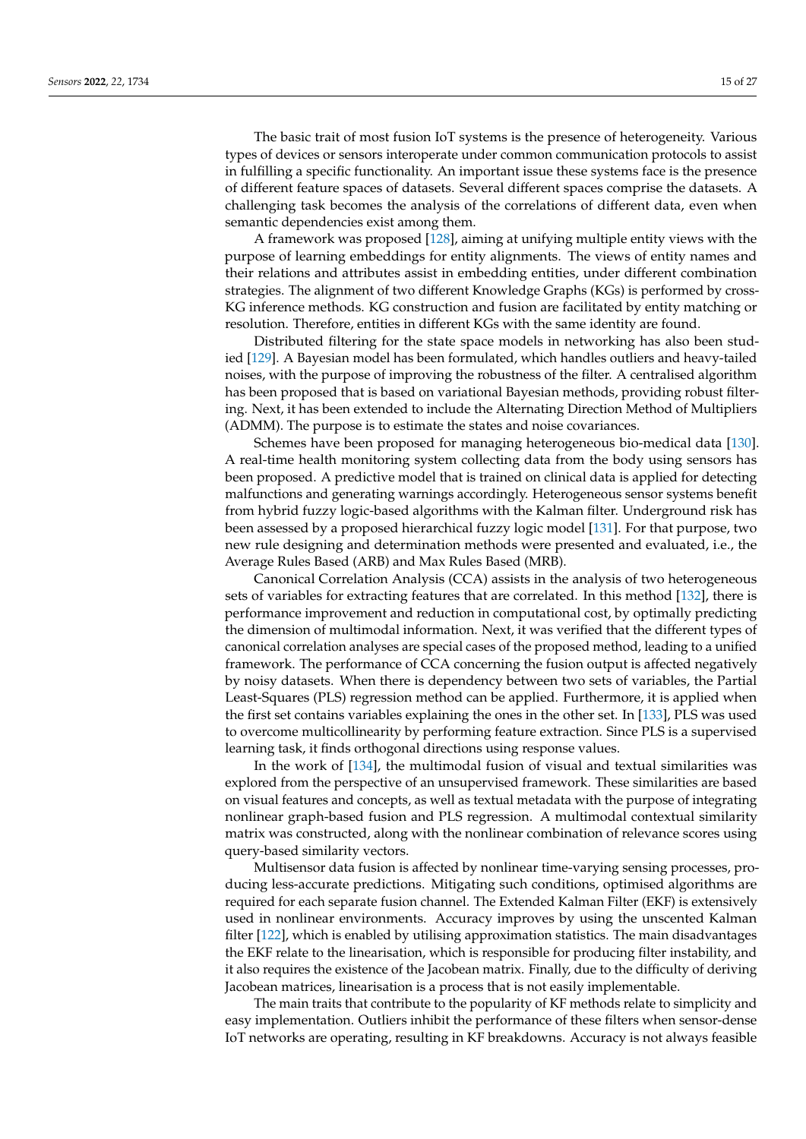The basic trait of most fusion IoT systems is the presence of heterogeneity. Various types of devices or sensors interoperate under common communication protocols to assist in fulfilling a specific functionality. An important issue these systems face is the presence of different feature spaces of datasets. Several different spaces comprise the datasets. A challenging task becomes the analysis of the correlations of different data, even when semantic dependencies exist among them.

A framework was proposed [\[128\]](#page-25-18), aiming at unifying multiple entity views with the purpose of learning embeddings for entity alignments. The views of entity names and their relations and attributes assist in embedding entities, under different combination strategies. The alignment of two different Knowledge Graphs (KGs) is performed by cross-KG inference methods. KG construction and fusion are facilitated by entity matching or resolution. Therefore, entities in different KGs with the same identity are found.

Distributed filtering for the state space models in networking has also been studied [\[129\]](#page-25-19). A Bayesian model has been formulated, which handles outliers and heavy-tailed noises, with the purpose of improving the robustness of the filter. A centralised algorithm has been proposed that is based on variational Bayesian methods, providing robust filtering. Next, it has been extended to include the Alternating Direction Method of Multipliers (ADMM). The purpose is to estimate the states and noise covariances.

Schemes have been proposed for managing heterogeneous bio-medical data [\[130\]](#page-25-20). A real-time health monitoring system collecting data from the body using sensors has been proposed. A predictive model that is trained on clinical data is applied for detecting malfunctions and generating warnings accordingly. Heterogeneous sensor systems benefit from hybrid fuzzy logic-based algorithms with the Kalman filter. Underground risk has been assessed by a proposed hierarchical fuzzy logic model [\[131\]](#page-25-21). For that purpose, two new rule designing and determination methods were presented and evaluated, i.e., the Average Rules Based (ARB) and Max Rules Based (MRB).

Canonical Correlation Analysis (CCA) assists in the analysis of two heterogeneous sets of variables for extracting features that are correlated. In this method [\[132\]](#page-25-22), there is performance improvement and reduction in computational cost, by optimally predicting the dimension of multimodal information. Next, it was verified that the different types of canonical correlation analyses are special cases of the proposed method, leading to a unified framework. The performance of CCA concerning the fusion output is affected negatively by noisy datasets. When there is dependency between two sets of variables, the Partial Least-Squares (PLS) regression method can be applied. Furthermore, it is applied when the first set contains variables explaining the ones in the other set. In [\[133\]](#page-25-23), PLS was used to overcome multicollinearity by performing feature extraction. Since PLS is a supervised learning task, it finds orthogonal directions using response values.

In the work of [\[134\]](#page-25-24), the multimodal fusion of visual and textual similarities was explored from the perspective of an unsupervised framework. These similarities are based on visual features and concepts, as well as textual metadata with the purpose of integrating nonlinear graph-based fusion and PLS regression. A multimodal contextual similarity matrix was constructed, along with the nonlinear combination of relevance scores using query-based similarity vectors.

Multisensor data fusion is affected by nonlinear time-varying sensing processes, producing less-accurate predictions. Mitigating such conditions, optimised algorithms are required for each separate fusion channel. The Extended Kalman Filter (EKF) is extensively used in nonlinear environments. Accuracy improves by using the unscented Kalman filter [\[122\]](#page-25-14), which is enabled by utilising approximation statistics. The main disadvantages the EKF relate to the linearisation, which is responsible for producing filter instability, and it also requires the existence of the Jacobean matrix. Finally, due to the difficulty of deriving Jacobean matrices, linearisation is a process that is not easily implementable.

The main traits that contribute to the popularity of KF methods relate to simplicity and easy implementation. Outliers inhibit the performance of these filters when sensor-dense IoT networks are operating, resulting in KF breakdowns. Accuracy is not always feasible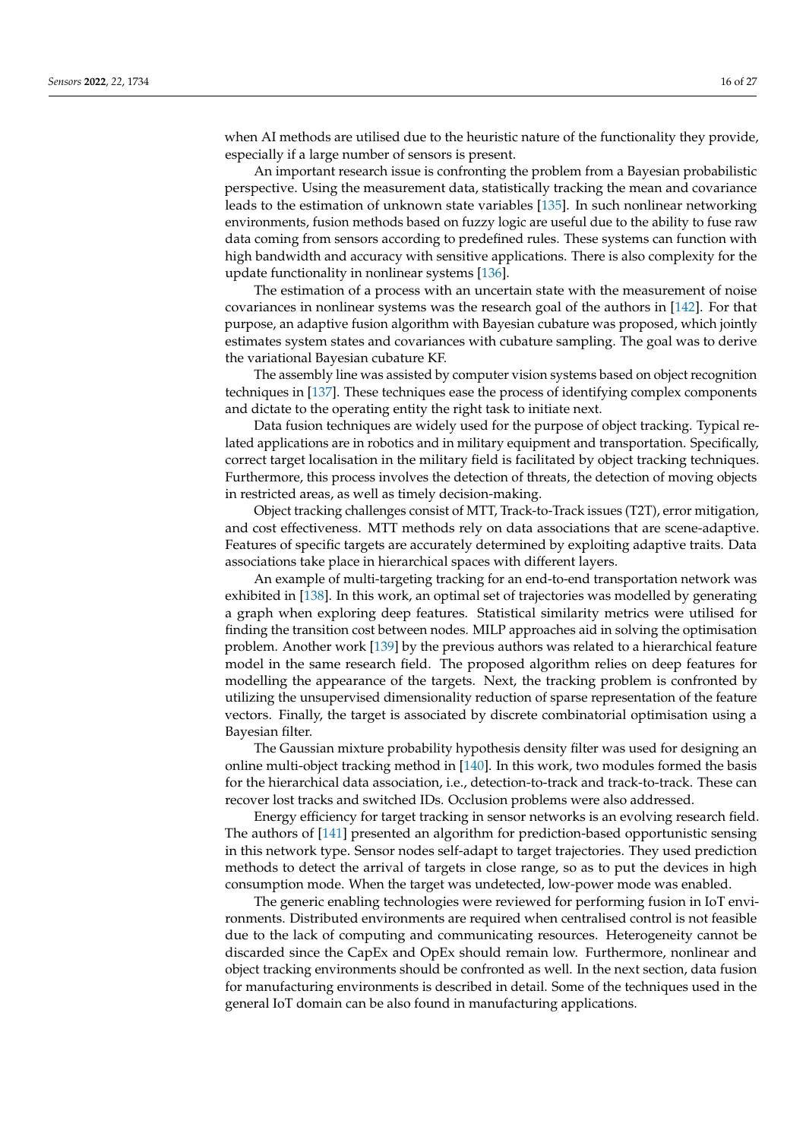when AI methods are utilised due to the heuristic nature of the functionality they provide, especially if a large number of sensors is present.

An important research issue is confronting the problem from a Bayesian probabilistic perspective. Using the measurement data, statistically tracking the mean and covariance leads to the estimation of unknown state variables [\[135\]](#page-25-25). In such nonlinear networking environments, fusion methods based on fuzzy logic are useful due to the ability to fuse raw data coming from sensors according to predefined rules. These systems can function with high bandwidth and accuracy with sensitive applications. There is also complexity for the update functionality in nonlinear systems [\[136\]](#page-25-26).

The estimation of a process with an uncertain state with the measurement of noise covariances in nonlinear systems was the research goal of the authors in [\[142\]](#page-26-4). For that purpose, an adaptive fusion algorithm with Bayesian cubature was proposed, which jointly estimates system states and covariances with cubature sampling. The goal was to derive the variational Bayesian cubature KF.

The assembly line was assisted by computer vision systems based on object recognition techniques in [\[137\]](#page-25-27). These techniques ease the process of identifying complex components and dictate to the operating entity the right task to initiate next.

Data fusion techniques are widely used for the purpose of object tracking. Typical related applications are in robotics and in military equipment and transportation. Specifically, correct target localisation in the military field is facilitated by object tracking techniques. Furthermore, this process involves the detection of threats, the detection of moving objects in restricted areas, as well as timely decision-making.

Object tracking challenges consist of MTT, Track-to-Track issues (T2T), error mitigation, and cost effectiveness. MTT methods rely on data associations that are scene-adaptive. Features of specific targets are accurately determined by exploiting adaptive traits. Data associations take place in hierarchical spaces with different layers.

An example of multi-targeting tracking for an end-to-end transportation network was exhibited in [\[138\]](#page-26-0). In this work, an optimal set of trajectories was modelled by generating a graph when exploring deep features. Statistical similarity metrics were utilised for finding the transition cost between nodes. MILP approaches aid in solving the optimisation problem. Another work [\[139\]](#page-26-1) by the previous authors was related to a hierarchical feature model in the same research field. The proposed algorithm relies on deep features for modelling the appearance of the targets. Next, the tracking problem is confronted by utilizing the unsupervised dimensionality reduction of sparse representation of the feature vectors. Finally, the target is associated by discrete combinatorial optimisation using a Bayesian filter.

The Gaussian mixture probability hypothesis density filter was used for designing an online multi-object tracking method in [\[140\]](#page-26-2). In this work, two modules formed the basis for the hierarchical data association, i.e., detection-to-track and track-to-track. These can recover lost tracks and switched IDs. Occlusion problems were also addressed.

Energy efficiency for target tracking in sensor networks is an evolving research field. The authors of [\[141\]](#page-26-3) presented an algorithm for prediction-based opportunistic sensing in this network type. Sensor nodes self-adapt to target trajectories. They used prediction methods to detect the arrival of targets in close range, so as to put the devices in high consumption mode. When the target was undetected, low-power mode was enabled.

The generic enabling technologies were reviewed for performing fusion in IoT environments. Distributed environments are required when centralised control is not feasible due to the lack of computing and communicating resources. Heterogeneity cannot be discarded since the CapEx and OpEx should remain low. Furthermore, nonlinear and object tracking environments should be confronted as well. In the next section, data fusion for manufacturing environments is described in detail. Some of the techniques used in the general IoT domain can be also found in manufacturing applications.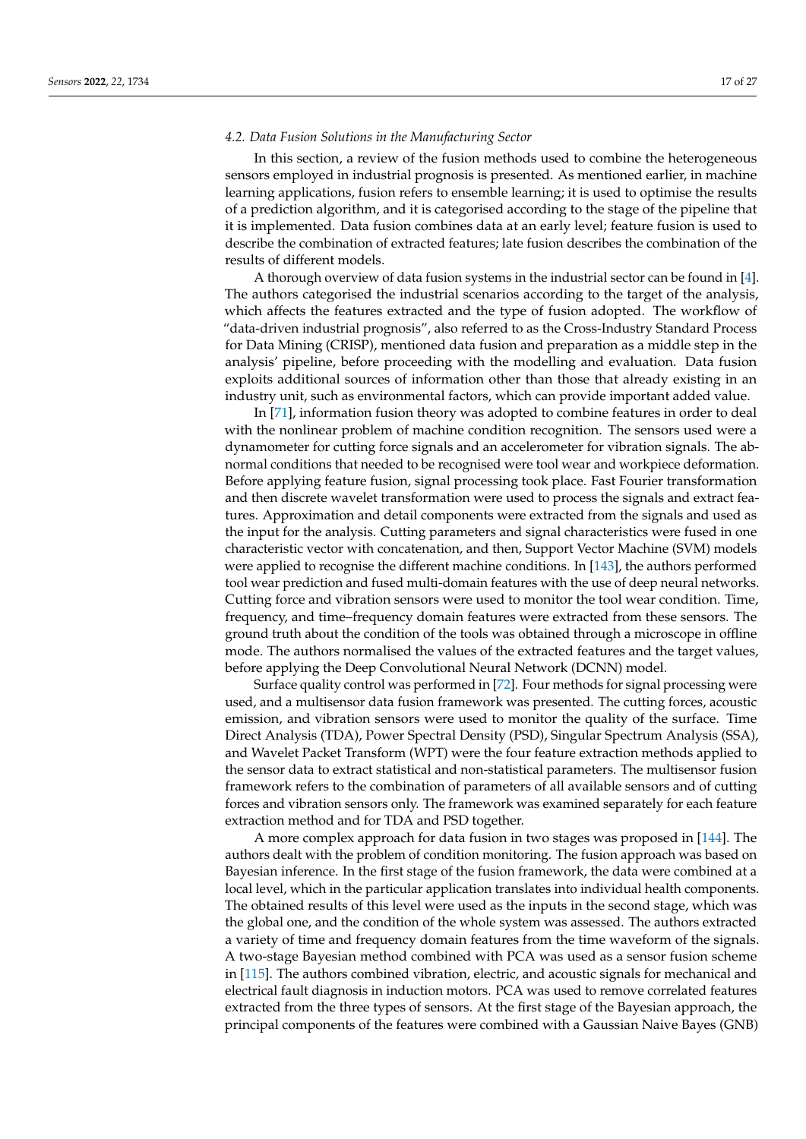#### *4.2. Data Fusion Solutions in the Manufacturing Sector*

In this section, a review of the fusion methods used to combine the heterogeneous sensors employed in industrial prognosis is presented. As mentioned earlier, in machine learning applications, fusion refers to ensemble learning; it is used to optimise the results of a prediction algorithm, and it is categorised according to the stage of the pipeline that it is implemented. Data fusion combines data at an early level; feature fusion is used to describe the combination of extracted features; late fusion describes the combination of the results of different models.

A thorough overview of data fusion systems in the industrial sector can be found in [\[4\]](#page-21-3). The authors categorised the industrial scenarios according to the target of the analysis, which affects the features extracted and the type of fusion adopted. The workflow of "data-driven industrial prognosis", also referred to as the Cross-Industry Standard Process for Data Mining (CRISP), mentioned data fusion and preparation as a middle step in the analysis' pipeline, before proceeding with the modelling and evaluation. Data fusion exploits additional sources of information other than those that already existing in an industry unit, such as environmental factors, which can provide important added value.

In [\[71\]](#page-23-17), information fusion theory was adopted to combine features in order to deal with the nonlinear problem of machine condition recognition. The sensors used were a dynamometer for cutting force signals and an accelerometer for vibration signals. The abnormal conditions that needed to be recognised were tool wear and workpiece deformation. Before applying feature fusion, signal processing took place. Fast Fourier transformation and then discrete wavelet transformation were used to process the signals and extract features. Approximation and detail components were extracted from the signals and used as the input for the analysis. Cutting parameters and signal characteristics were fused in one characteristic vector with concatenation, and then, Support Vector Machine (SVM) models were applied to recognise the different machine conditions. In [\[143\]](#page-26-5), the authors performed tool wear prediction and fused multi-domain features with the use of deep neural networks. Cutting force and vibration sensors were used to monitor the tool wear condition. Time, frequency, and time–frequency domain features were extracted from these sensors. The ground truth about the condition of the tools was obtained through a microscope in offline mode. The authors normalised the values of the extracted features and the target values, before applying the Deep Convolutional Neural Network (DCNN) model.

Surface quality control was performed in [\[72\]](#page-23-18). Four methods for signal processing were used, and a multisensor data fusion framework was presented. The cutting forces, acoustic emission, and vibration sensors were used to monitor the quality of the surface. Time Direct Analysis (TDA), Power Spectral Density (PSD), Singular Spectrum Analysis (SSA), and Wavelet Packet Transform (WPT) were the four feature extraction methods applied to the sensor data to extract statistical and non-statistical parameters. The multisensor fusion framework refers to the combination of parameters of all available sensors and of cutting forces and vibration sensors only. The framework was examined separately for each feature extraction method and for TDA and PSD together.

A more complex approach for data fusion in two stages was proposed in [\[144\]](#page-26-6). The authors dealt with the problem of condition monitoring. The fusion approach was based on Bayesian inference. In the first stage of the fusion framework, the data were combined at a local level, which in the particular application translates into individual health components. The obtained results of this level were used as the inputs in the second stage, which was the global one, and the condition of the whole system was assessed. The authors extracted a variety of time and frequency domain features from the time waveform of the signals. A two-stage Bayesian method combined with PCA was used as a sensor fusion scheme in [\[115\]](#page-25-7). The authors combined vibration, electric, and acoustic signals for mechanical and electrical fault diagnosis in induction motors. PCA was used to remove correlated features extracted from the three types of sensors. At the first stage of the Bayesian approach, the principal components of the features were combined with a Gaussian Naive Bayes (GNB)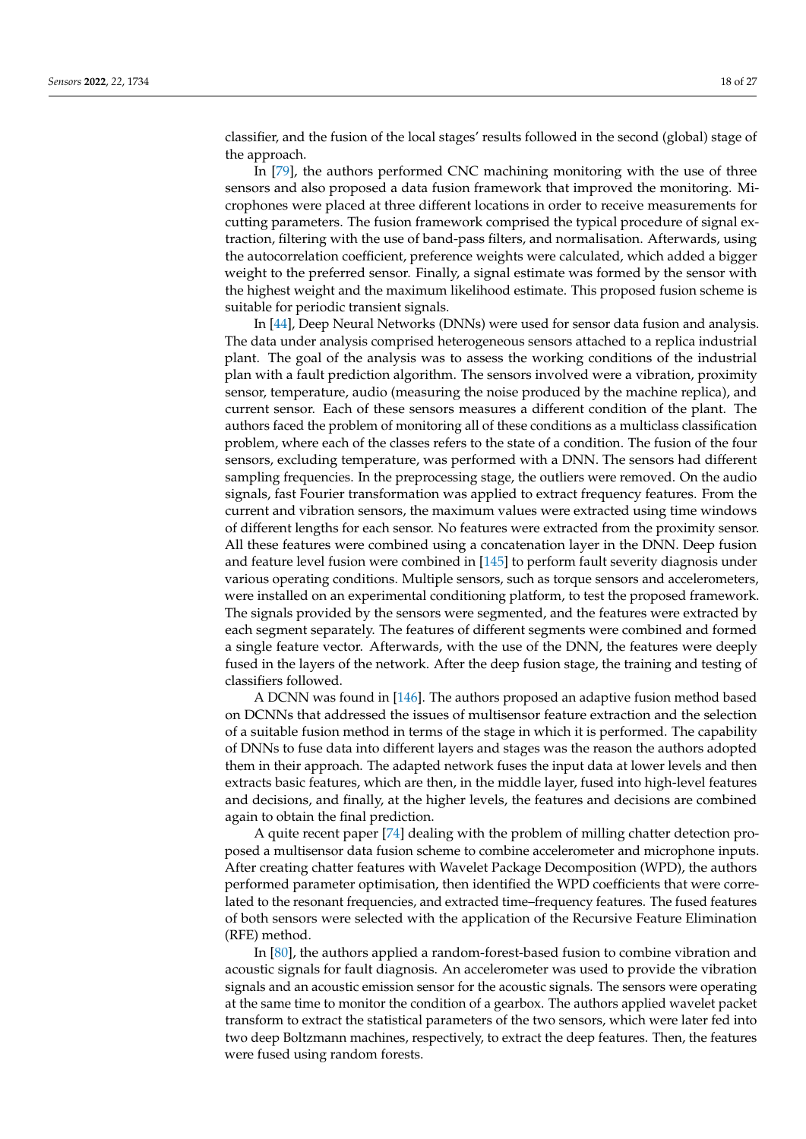classifier, and the fusion of the local stages' results followed in the second (global) stage of the approach.

In [\[79\]](#page-24-0), the authors performed CNC machining monitoring with the use of three sensors and also proposed a data fusion framework that improved the monitoring. Microphones were placed at three different locations in order to receive measurements for cutting parameters. The fusion framework comprised the typical procedure of signal extraction, filtering with the use of band-pass filters, and normalisation. Afterwards, using the autocorrelation coefficient, preference weights were calculated, which added a bigger weight to the preferred sensor. Finally, a signal estimate was formed by the sensor with the highest weight and the maximum likelihood estimate. This proposed fusion scheme is suitable for periodic transient signals.

In [\[44\]](#page-22-22), Deep Neural Networks (DNNs) were used for sensor data fusion and analysis. The data under analysis comprised heterogeneous sensors attached to a replica industrial plant. The goal of the analysis was to assess the working conditions of the industrial plan with a fault prediction algorithm. The sensors involved were a vibration, proximity sensor, temperature, audio (measuring the noise produced by the machine replica), and current sensor. Each of these sensors measures a different condition of the plant. The authors faced the problem of monitoring all of these conditions as a multiclass classification problem, where each of the classes refers to the state of a condition. The fusion of the four sensors, excluding temperature, was performed with a DNN. The sensors had different sampling frequencies. In the preprocessing stage, the outliers were removed. On the audio signals, fast Fourier transformation was applied to extract frequency features. From the current and vibration sensors, the maximum values were extracted using time windows of different lengths for each sensor. No features were extracted from the proximity sensor. All these features were combined using a concatenation layer in the DNN. Deep fusion and feature level fusion were combined in [\[145\]](#page-26-7) to perform fault severity diagnosis under various operating conditions. Multiple sensors, such as torque sensors and accelerometers, were installed on an experimental conditioning platform, to test the proposed framework. The signals provided by the sensors were segmented, and the features were extracted by each segment separately. The features of different segments were combined and formed a single feature vector. Afterwards, with the use of the DNN, the features were deeply fused in the layers of the network. After the deep fusion stage, the training and testing of classifiers followed.

A DCNN was found in [\[146\]](#page-26-8). The authors proposed an adaptive fusion method based on DCNNs that addressed the issues of multisensor feature extraction and the selection of a suitable fusion method in terms of the stage in which it is performed. The capability of DNNs to fuse data into different layers and stages was the reason the authors adopted them in their approach. The adapted network fuses the input data at lower levels and then extracts basic features, which are then, in the middle layer, fused into high-level features and decisions, and finally, at the higher levels, the features and decisions are combined again to obtain the final prediction.

A quite recent paper [\[74\]](#page-23-20) dealing with the problem of milling chatter detection proposed a multisensor data fusion scheme to combine accelerometer and microphone inputs. After creating chatter features with Wavelet Package Decomposition (WPD), the authors performed parameter optimisation, then identified the WPD coefficients that were correlated to the resonant frequencies, and extracted time–frequency features. The fused features of both sensors were selected with the application of the Recursive Feature Elimination (RFE) method.

In [\[80\]](#page-24-1), the authors applied a random-forest-based fusion to combine vibration and acoustic signals for fault diagnosis. An accelerometer was used to provide the vibration signals and an acoustic emission sensor for the acoustic signals. The sensors were operating at the same time to monitor the condition of a gearbox. The authors applied wavelet packet transform to extract the statistical parameters of the two sensors, which were later fed into two deep Boltzmann machines, respectively, to extract the deep features. Then, the features were fused using random forests.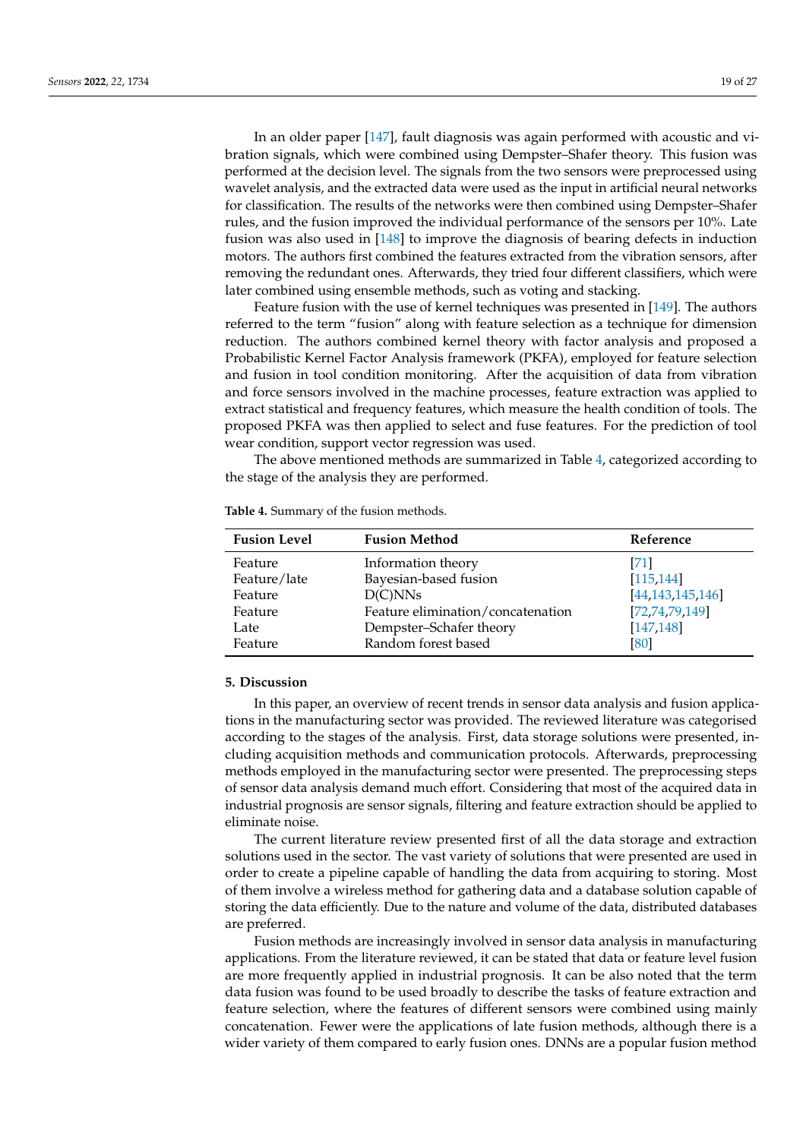In an older paper [\[147\]](#page-26-9), fault diagnosis was again performed with acoustic and vibration signals, which were combined using Dempster–Shafer theory. This fusion was performed at the decision level. The signals from the two sensors were preprocessed using wavelet analysis, and the extracted data were used as the input in artificial neural networks for classification. The results of the networks were then combined using Dempster–Shafer rules, and the fusion improved the individual performance of the sensors per 10%. Late fusion was also used in [\[148\]](#page-26-10) to improve the diagnosis of bearing defects in induction motors. The authors first combined the features extracted from the vibration sensors, after removing the redundant ones. Afterwards, they tried four different classifiers, which were later combined using ensemble methods, such as voting and stacking.

Feature fusion with the use of kernel techniques was presented in [\[149\]](#page-26-11). The authors referred to the term "fusion" along with feature selection as a technique for dimension reduction. The authors combined kernel theory with factor analysis and proposed a Probabilistic Kernel Factor Analysis framework (PKFA), employed for feature selection and fusion in tool condition monitoring. After the acquisition of data from vibration and force sensors involved in the machine processes, feature extraction was applied to extract statistical and frequency features, which measure the health condition of tools. The proposed PKFA was then applied to select and fuse features. For the prediction of tool wear condition, support vector regression was used.

The above mentioned methods are summarized in Table [4,](#page-18-0) categorized according to the stage of the analysis they are performed.

| <b>Fusion Level</b> | <b>Fusion Method</b>              | Reference           |
|---------------------|-----------------------------------|---------------------|
| Feature             | Information theory                | [71]                |
| Feature/late        | Bayesian-based fusion             | [115, 144]          |
| Feature             | D(C)NNs                           | [44, 143, 145, 146] |
| Feature             | Feature elimination/concatenation | [72, 74, 79, 149]   |
| Late                | Dempster-Schafer theory           | [147, 148]          |
| Feature             | Random forest based               | [80]                |

<span id="page-18-0"></span>**Table 4.** Summary of the fusion methods.

#### **5. Discussion**

In this paper, an overview of recent trends in sensor data analysis and fusion applications in the manufacturing sector was provided. The reviewed literature was categorised according to the stages of the analysis. First, data storage solutions were presented, including acquisition methods and communication protocols. Afterwards, preprocessing methods employed in the manufacturing sector were presented. The preprocessing steps of sensor data analysis demand much effort. Considering that most of the acquired data in industrial prognosis are sensor signals, filtering and feature extraction should be applied to eliminate noise.

The current literature review presented first of all the data storage and extraction solutions used in the sector. The vast variety of solutions that were presented are used in order to create a pipeline capable of handling the data from acquiring to storing. Most of them involve a wireless method for gathering data and a database solution capable of storing the data efficiently. Due to the nature and volume of the data, distributed databases are preferred.

Fusion methods are increasingly involved in sensor data analysis in manufacturing applications. From the literature reviewed, it can be stated that data or feature level fusion are more frequently applied in industrial prognosis. It can be also noted that the term data fusion was found to be used broadly to describe the tasks of feature extraction and feature selection, where the features of different sensors were combined using mainly concatenation. Fewer were the applications of late fusion methods, although there is a wider variety of them compared to early fusion ones. DNNs are a popular fusion method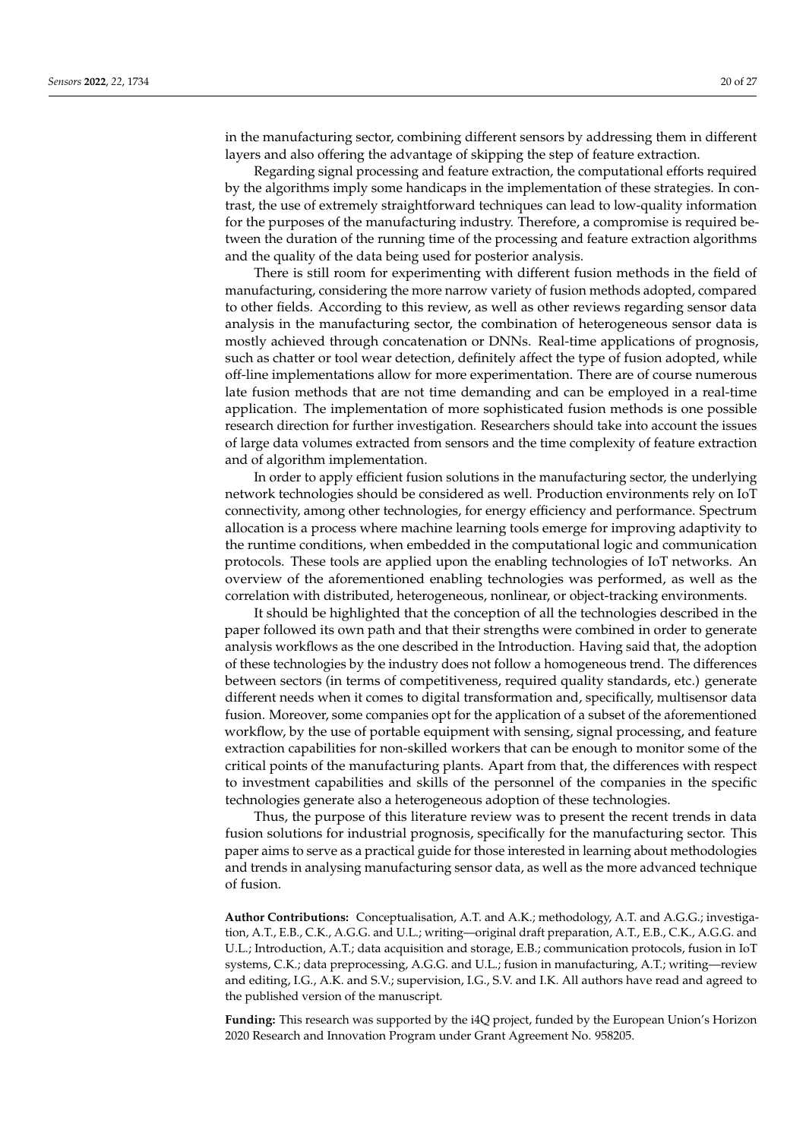in the manufacturing sector, combining different sensors by addressing them in different layers and also offering the advantage of skipping the step of feature extraction.

Regarding signal processing and feature extraction, the computational efforts required by the algorithms imply some handicaps in the implementation of these strategies. In contrast, the use of extremely straightforward techniques can lead to low-quality information for the purposes of the manufacturing industry. Therefore, a compromise is required between the duration of the running time of the processing and feature extraction algorithms and the quality of the data being used for posterior analysis.

There is still room for experimenting with different fusion methods in the field of manufacturing, considering the more narrow variety of fusion methods adopted, compared to other fields. According to this review, as well as other reviews regarding sensor data analysis in the manufacturing sector, the combination of heterogeneous sensor data is mostly achieved through concatenation or DNNs. Real-time applications of prognosis, such as chatter or tool wear detection, definitely affect the type of fusion adopted, while off-line implementations allow for more experimentation. There are of course numerous late fusion methods that are not time demanding and can be employed in a real-time application. The implementation of more sophisticated fusion methods is one possible research direction for further investigation. Researchers should take into account the issues of large data volumes extracted from sensors and the time complexity of feature extraction and of algorithm implementation.

In order to apply efficient fusion solutions in the manufacturing sector, the underlying network technologies should be considered as well. Production environments rely on IoT connectivity, among other technologies, for energy efficiency and performance. Spectrum allocation is a process where machine learning tools emerge for improving adaptivity to the runtime conditions, when embedded in the computational logic and communication protocols. These tools are applied upon the enabling technologies of IoT networks. An overview of the aforementioned enabling technologies was performed, as well as the correlation with distributed, heterogeneous, nonlinear, or object-tracking environments.

It should be highlighted that the conception of all the technologies described in the paper followed its own path and that their strengths were combined in order to generate analysis workflows as the one described in the Introduction. Having said that, the adoption of these technologies by the industry does not follow a homogeneous trend. The differences between sectors (in terms of competitiveness, required quality standards, etc.) generate different needs when it comes to digital transformation and, specifically, multisensor data fusion. Moreover, some companies opt for the application of a subset of the aforementioned workflow, by the use of portable equipment with sensing, signal processing, and feature extraction capabilities for non-skilled workers that can be enough to monitor some of the critical points of the manufacturing plants. Apart from that, the differences with respect to investment capabilities and skills of the personnel of the companies in the specific technologies generate also a heterogeneous adoption of these technologies.

Thus, the purpose of this literature review was to present the recent trends in data fusion solutions for industrial prognosis, specifically for the manufacturing sector. This paper aims to serve as a practical guide for those interested in learning about methodologies and trends in analysing manufacturing sensor data, as well as the more advanced technique of fusion.

**Author Contributions:** Conceptualisation, A.T. and A.K.; methodology, A.T. and A.G.G.; investigation, A.T., E.B., C.K., A.G.G. and U.L.; writing—original draft preparation, A.T., E.B., C.K., A.G.G. and U.L.; Introduction, A.T.; data acquisition and storage, E.B.; communication protocols, fusion in IoT systems, C.K.; data preprocessing, A.G.G. and U.L.; fusion in manufacturing, A.T.; writing—review and editing, I.G., A.K. and S.V.; supervision, I.G., S.V. and I.K. All authors have read and agreed to the published version of the manuscript.

**Funding:** This research was supported by the i4Q project, funded by the European Union's Horizon 2020 Research and Innovation Program under Grant Agreement No. 958205.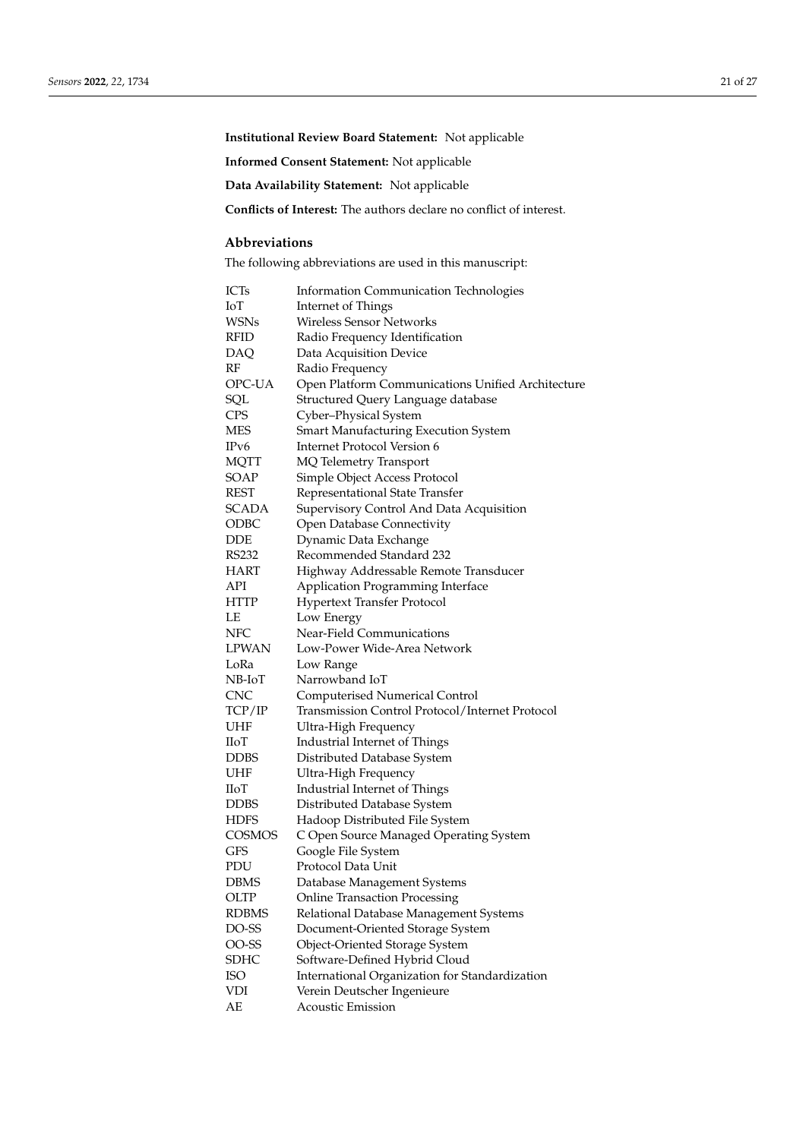**Institutional Review Board Statement:** Not applicable

**Informed Consent Statement:** Not applicable

**Data Availability Statement:** Not applicable

**Conflicts of Interest:** The authors declare no conflict of interest.

# **Abbreviations**

The following abbreviations are used in this manuscript:

| ICTs         | <b>Information Communication Technologies</b>     |
|--------------|---------------------------------------------------|
| IоT          | Internet of Things                                |
| WSNs         | <b>Wireless Sensor Networks</b>                   |
| RFID         | Radio Frequency Identification                    |
| DAQ          | Data Acquisition Device                           |
| RF           | Radio Frequency                                   |
| OPC-UA       | Open Platform Communications Unified Architecture |
| SQL          | Structured Query Language database                |
| <b>CPS</b>   | Cyber-Physical System                             |
| <b>MES</b>   | Smart Manufacturing Execution System              |
| IPv6         | <b>Internet Protocol Version 6</b>                |
| <b>MQTT</b>  | MQ Telemetry Transport                            |
| SOAP         | Simple Object Access Protocol                     |
| <b>REST</b>  | Representational State Transfer                   |
| SCADA        | Supervisory Control And Data Acquisition          |
| ODBC         | Open Database Connectivity                        |
| DDE          | Dynamic Data Exchange                             |
| RS232        | Recommended Standard 232                          |
| HART         | Highway Addressable Remote Transducer             |
| API          | Application Programming Interface                 |
| HTTP         | <b>Hypertext Transfer Protocol</b>                |
| LE           | Low Energy                                        |
| NFC          | Near-Field Communications                         |
| <b>LPWAN</b> | Low-Power Wide-Area Network                       |
| LoRa         | Low Range                                         |
| NB-IoT       | Narrowband IoT                                    |
| <b>CNC</b>   | <b>Computerised Numerical Control</b>             |
| TCP/IP       | Transmission Control Protocol/Internet Protocol   |
| UHF          | Ultra-High Frequency                              |
| <b>IIoT</b>  | Industrial Internet of Things                     |
| <b>DDBS</b>  | Distributed Database System                       |
| UHF          | Ultra-High Frequency                              |
| ПoТ          | Industrial Internet of Things                     |
| <b>DDBS</b>  | Distributed Database System                       |
| HDFS         | Hadoop Distributed File System                    |
| COSMOS       | C Open Source Managed Operating System            |
| <b>GFS</b>   | Google File System                                |
| PDU          | Protocol Data Unit                                |
| <b>DBMS</b>  | Database Management Systems                       |
| OLTP         | <b>Online Transaction Processing</b>              |
| <b>RDBMS</b> | Relational Database Management Systems            |
| DO-SS        | Document-Oriented Storage System                  |
| OO-SS        | Object-Oriented Storage System                    |
| <b>SDHC</b>  | Software-Defined Hybrid Cloud                     |
| <b>ISO</b>   | International Organization for Standardization    |
| <b>VDI</b>   | Verein Deutscher Ingenieure                       |
| AE           | <b>Acoustic Emission</b>                          |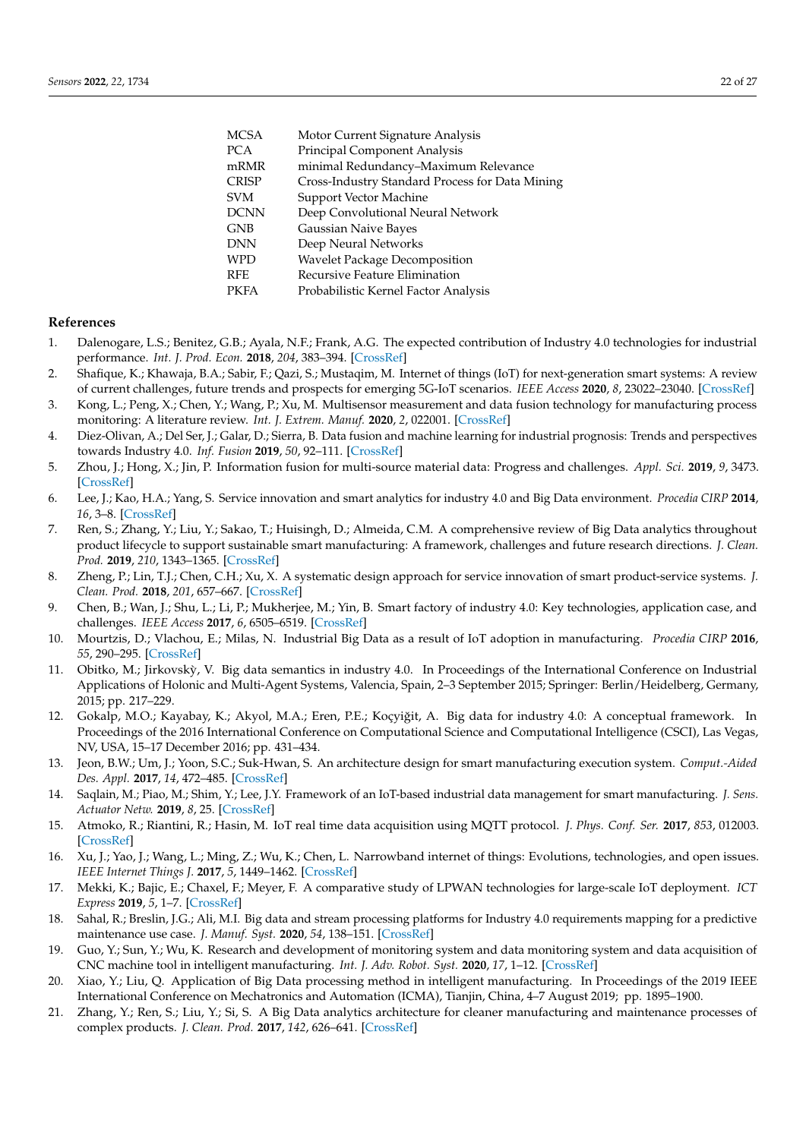| <b>MCSA</b>  | Motor Current Signature Analysis                |
|--------------|-------------------------------------------------|
| <b>PCA</b>   | Principal Component Analysis                    |
| mRMR         | minimal Redundancy-Maximum Relevance            |
| <b>CRISP</b> | Cross-Industry Standard Process for Data Mining |
| <b>SVM</b>   | Support Vector Machine                          |
| <b>DCNN</b>  | Deep Convolutional Neural Network               |
| <b>GNB</b>   | Gaussian Naive Bayes                            |
| <b>DNN</b>   | Deep Neural Networks                            |
| <b>WPD</b>   | <b>Wavelet Package Decomposition</b>            |
| <b>RFE</b>   | Recursive Feature Elimination                   |
| <b>PKFA</b>  | Probabilistic Kernel Factor Analysis            |
|              |                                                 |

## **References**

- <span id="page-21-0"></span>1. Dalenogare, L.S.; Benitez, G.B.; Ayala, N.F.; Frank, A.G. The expected contribution of Industry 4.0 technologies for industrial performance. *Int. J. Prod. Econ.* **2018**, *204*, 383–394. [\[CrossRef\]](http://doi.org/10.1016/j.ijpe.2018.08.019)
- <span id="page-21-1"></span>2. Shafique, K.; Khawaja, B.A.; Sabir, F.; Qazi, S.; Mustaqim, M. Internet of things (IoT) for next-generation smart systems: A review of current challenges, future trends and prospects for emerging 5G-IoT scenarios. *IEEE Access* **2020**, *8*, 23022–23040. [\[CrossRef\]](http://dx.doi.org/10.1109/ACCESS.2020.2970118)
- <span id="page-21-2"></span>3. Kong, L.; Peng, X.; Chen, Y.; Wang, P.; Xu, M. Multisensor measurement and data fusion technology for manufacturing process monitoring: A literature review. *Int. J. Extrem. Manuf.* **2020**, *2*, 022001. [\[CrossRef\]](http://dx.doi.org/10.1088/2631-7990/ab7ae6)
- <span id="page-21-3"></span>4. Diez-Olivan, A.; Del Ser, J.; Galar, D.; Sierra, B. Data fusion and machine learning for industrial prognosis: Trends and perspectives towards Industry 4.0. *Inf. Fusion* **2019**, *50*, 92–111. [\[CrossRef\]](http://dx.doi.org/10.1016/j.inffus.2018.10.005)
- <span id="page-21-4"></span>5. Zhou, J.; Hong, X.; Jin, P. Information fusion for multi-source material data: Progress and challenges. *Appl. Sci.* **2019**, *9*, 3473. [\[CrossRef\]](http://dx.doi.org/10.3390/app9173473)
- <span id="page-21-5"></span>6. Lee, J.; Kao, H.A.; Yang, S. Service innovation and smart analytics for industry 4.0 and Big Data environment. *Procedia CIRP* **2014**, *16*, 3–8. [\[CrossRef\]](http://dx.doi.org/10.1016/j.procir.2014.02.001)
- <span id="page-21-6"></span>7. Ren, S.; Zhang, Y.; Liu, Y.; Sakao, T.; Huisingh, D.; Almeida, C.M. A comprehensive review of Big Data analytics throughout product lifecycle to support sustainable smart manufacturing: A framework, challenges and future research directions. *J. Clean. Prod.* **2019**, *210*, 1343–1365. [\[CrossRef\]](http://dx.doi.org/10.1016/j.jclepro.2018.11.025)
- <span id="page-21-7"></span>8. Zheng, P.; Lin, T.J.; Chen, C.H.; Xu, X. A systematic design approach for service innovation of smart product-service systems. *J. Clean. Prod.* **2018**, *201*, 657–667. [\[CrossRef\]](http://dx.doi.org/10.1016/j.jclepro.2018.08.101)
- <span id="page-21-8"></span>9. Chen, B.; Wan, J.; Shu, L.; Li, P.; Mukherjee, M.; Yin, B. Smart factory of industry 4.0: Key technologies, application case, and challenges. *IEEE Access* **2017**, *6*, 6505–6519. [\[CrossRef\]](http://dx.doi.org/10.1109/ACCESS.2017.2783682)
- <span id="page-21-9"></span>10. Mourtzis, D.; Vlachou, E.; Milas, N. Industrial Big Data as a result of IoT adoption in manufacturing. *Procedia CIRP* **2016**, *55*, 290–295. [\[CrossRef\]](http://dx.doi.org/10.1016/j.procir.2016.07.038)
- <span id="page-21-10"></span>11. Obitko, M.; Jirkovsky, V. Big data semantics in industry 4.0. In Proceedings of the International Conference on Industrial ` Applications of Holonic and Multi-Agent Systems, Valencia, Spain, 2–3 September 2015; Springer: Berlin/Heidelberg, Germany, 2015; pp. 217–229.
- <span id="page-21-11"></span>12. Gokalp, M.O.; Kayabay, K.; Akyol, M.A.; Eren, P.E.; Koçyiğit, A. Big data for industry 4.0: A conceptual framework. In Proceedings of the 2016 International Conference on Computational Science and Computational Intelligence (CSCI), Las Vegas, NV, USA, 15–17 December 2016; pp. 431–434.
- <span id="page-21-12"></span>13. Jeon, B.W.; Um, J.; Yoon, S.C.; Suk-Hwan, S. An architecture design for smart manufacturing execution system. *Comput.-Aided Des. Appl.* **2017**, *14*, 472–485. [\[CrossRef\]](http://dx.doi.org/10.1080/16864360.2016.1257189)
- <span id="page-21-13"></span>14. Saqlain, M.; Piao, M.; Shim, Y.; Lee, J.Y. Framework of an IoT-based industrial data management for smart manufacturing. *J. Sens. Actuator Netw.* **2019**, *8*, 25. [\[CrossRef\]](http://dx.doi.org/10.3390/jsan8020025)
- <span id="page-21-14"></span>15. Atmoko, R.; Riantini, R.; Hasin, M. IoT real time data acquisition using MQTT protocol. *J. Phys. Conf. Ser.* **2017**, *853*, 012003. [\[CrossRef\]](http://dx.doi.org/10.1088/1742-6596/853/1/012003)
- <span id="page-21-15"></span>16. Xu, J.; Yao, J.; Wang, L.; Ming, Z.; Wu, K.; Chen, L. Narrowband internet of things: Evolutions, technologies, and open issues. *IEEE Internet Things J.* **2017**, *5*, 1449–1462. [\[CrossRef\]](http://dx.doi.org/10.1109/JIOT.2017.2783374)
- <span id="page-21-16"></span>17. Mekki, K.; Bajic, E.; Chaxel, F.; Meyer, F. A comparative study of LPWAN technologies for large-scale IoT deployment. *ICT Express* **2019**, *5*, 1–7. [\[CrossRef\]](http://dx.doi.org/10.1016/j.icte.2017.12.005)
- <span id="page-21-17"></span>18. Sahal, R.; Breslin, J.G.; Ali, M.I. Big data and stream processing platforms for Industry 4.0 requirements mapping for a predictive maintenance use case. *J. Manuf. Syst.* **2020**, *54*, 138–151. [\[CrossRef\]](http://dx.doi.org/10.1016/j.jmsy.2019.11.004)
- <span id="page-21-18"></span>19. Guo, Y.; Sun, Y.; Wu, K. Research and development of monitoring system and data monitoring system and data acquisition of CNC machine tool in intelligent manufacturing. *Int. J. Adv. Robot. Syst.* **2020**, *17*, 1–12. [\[CrossRef\]](http://dx.doi.org/10.1177/1729881419898017)
- <span id="page-21-19"></span>20. Xiao, Y.; Liu, Q. Application of Big Data processing method in intelligent manufacturing. In Proceedings of the 2019 IEEE International Conference on Mechatronics and Automation (ICMA), Tianjin, China, 4–7 August 2019; pp. 1895–1900.
- <span id="page-21-20"></span>21. Zhang, Y.; Ren, S.; Liu, Y.; Si, S. A Big Data analytics architecture for cleaner manufacturing and maintenance processes of complex products. *J. Clean. Prod.* **2017**, *142*, 626–641. [\[CrossRef\]](http://dx.doi.org/10.1016/j.jclepro.2016.07.123)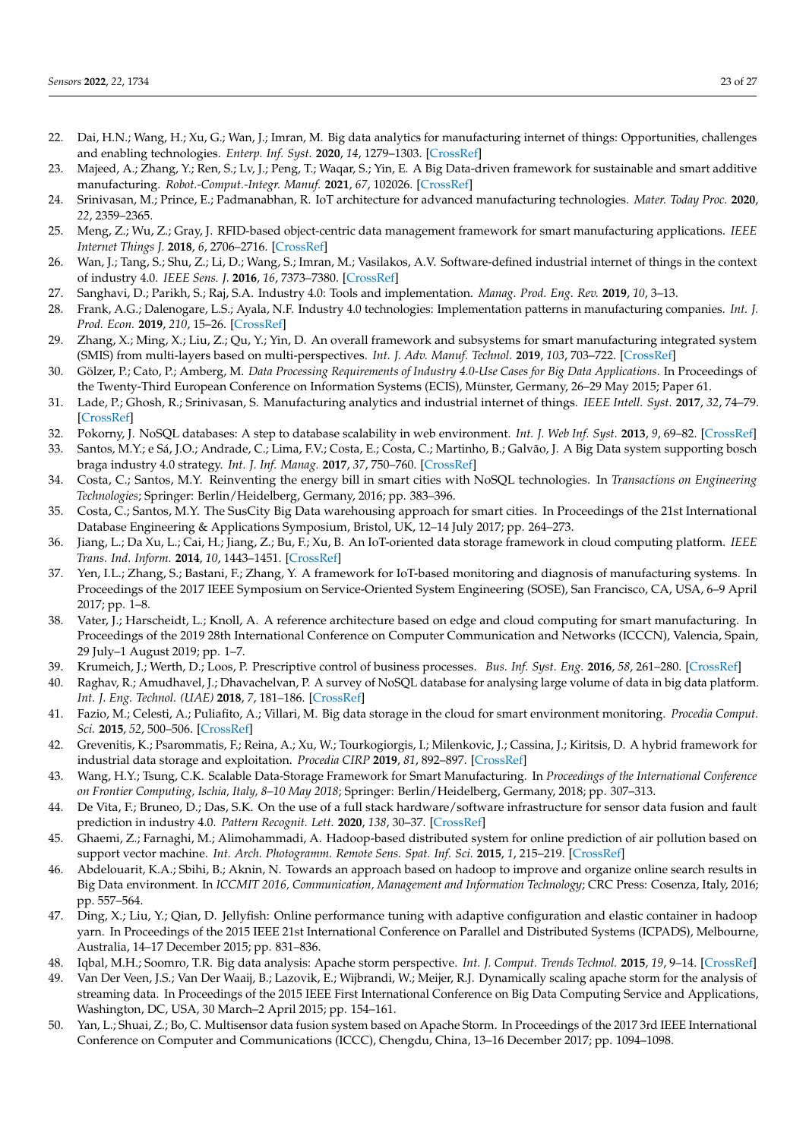- <span id="page-22-7"></span>22. Dai, H.N.; Wang, H.; Xu, G.; Wan, J.; Imran, M. Big data analytics for manufacturing internet of things: Opportunities, challenges and enabling technologies. *Enterp. Inf. Syst.* **2020**, *14*, 1279–1303. [\[CrossRef\]](http://dx.doi.org/10.1080/17517575.2019.1633689)
- <span id="page-22-0"></span>23. Majeed, A.; Zhang, Y.; Ren, S.; Lv, J.; Peng, T.; Waqar, S.; Yin, E. A Big Data-driven framework for sustainable and smart additive manufacturing. *Robot.-Comput.-Integr. Manuf.* **2021**, *67*, 102026. [\[CrossRef\]](http://dx.doi.org/10.1016/j.rcim.2020.102026)
- <span id="page-22-1"></span>24. Srinivasan, M.; Prince, E.; Padmanabhan, R. IoT architecture for advanced manufacturing technologies. *Mater. Today Proc.* **2020**, *22*, 2359–2365.
- <span id="page-22-2"></span>25. Meng, Z.; Wu, Z.; Gray, J. RFID-based object-centric data management framework for smart manufacturing applications. *IEEE Internet Things J.* **2018**, *6*, 2706–2716. [\[CrossRef\]](http://dx.doi.org/10.1109/JIOT.2018.2873426)
- <span id="page-22-3"></span>26. Wan, J.; Tang, S.; Shu, Z.; Li, D.; Wang, S.; Imran, M.; Vasilakos, A.V. Software-defined industrial internet of things in the context of industry 4.0. *IEEE Sens. J.* **2016**, *16*, 7373–7380. [\[CrossRef\]](http://dx.doi.org/10.1109/JSEN.2016.2565621)
- <span id="page-22-4"></span>27. Sanghavi, D.; Parikh, S.; Raj, S.A. Industry 4.0: Tools and implementation. *Manag. Prod. Eng. Rev.* **2019**, *10*, 3–13.
- <span id="page-22-5"></span>28. Frank, A.G.; Dalenogare, L.S.; Ayala, N.F. Industry 4.0 technologies: Implementation patterns in manufacturing companies. *Int. J. Prod. Econ.* **2019**, *210*, 15–26. [\[CrossRef\]](http://dx.doi.org/10.1016/j.ijpe.2019.01.004)
- <span id="page-22-6"></span>29. Zhang, X.; Ming, X.; Liu, Z.; Qu, Y.; Yin, D. An overall framework and subsystems for smart manufacturing integrated system (SMIS) from multi-layers based on multi-perspectives. *Int. J. Adv. Manuf. Technol.* **2019**, *103*, 703–722. [\[CrossRef\]](http://dx.doi.org/10.1007/s00170-019-03593-6)
- <span id="page-22-8"></span>30. Gölzer, P.; Cato, P.; Amberg, M. *Data Processing Requirements of Industry 4.0-Use Cases for Big Data Applications*. In Proceedings of the Twenty-Third European Conference on Information Systems (ECIS), Münster, Germany, 26–29 May 2015; Paper 61.
- <span id="page-22-9"></span>31. Lade, P.; Ghosh, R.; Srinivasan, S. Manufacturing analytics and industrial internet of things. *IEEE Intell. Syst.* **2017**, *32*, 74–79. [\[CrossRef\]](http://dx.doi.org/10.1109/MIS.2017.49)
- <span id="page-22-10"></span>32. Pokorny, J. NoSQL databases: A step to database scalability in web environment. *Int. J. Web Inf. Syst.* **2013**, *9*, 69–82. [\[CrossRef\]](http://dx.doi.org/10.1108/17440081311316398)
- <span id="page-22-11"></span>33. Santos, M.Y.; e Sá, J.O.; Andrade, C.; Lima, F.V.; Costa, E.; Costa, C.; Martinho, B.; Galvão, J. A Big Data system supporting bosch braga industry 4.0 strategy. *Int. J. Inf. Manag.* **2017**, *37*, 750–760. [\[CrossRef\]](http://dx.doi.org/10.1016/j.ijinfomgt.2017.07.012)
- <span id="page-22-12"></span>34. Costa, C.; Santos, M.Y. Reinventing the energy bill in smart cities with NoSQL technologies. In *Transactions on Engineering Technologies*; Springer: Berlin/Heidelberg, Germany, 2016; pp. 383–396.
- <span id="page-22-13"></span>35. Costa, C.; Santos, M.Y. The SusCity Big Data warehousing approach for smart cities. In Proceedings of the 21st International Database Engineering & Applications Symposium, Bristol, UK, 12–14 July 2017; pp. 264–273.
- <span id="page-22-14"></span>36. Jiang, L.; Da Xu, L.; Cai, H.; Jiang, Z.; Bu, F.; Xu, B. An IoT-oriented data storage framework in cloud computing platform. *IEEE Trans. Ind. Inform.* **2014**, *10*, 1443–1451. [\[CrossRef\]](http://dx.doi.org/10.1109/TII.2014.2306384)
- <span id="page-22-15"></span>37. Yen, I.L.; Zhang, S.; Bastani, F.; Zhang, Y. A framework for IoT-based monitoring and diagnosis of manufacturing systems. In Proceedings of the 2017 IEEE Symposium on Service-Oriented System Engineering (SOSE), San Francisco, CA, USA, 6–9 April 2017; pp. 1–8.
- <span id="page-22-16"></span>38. Vater, J.; Harscheidt, L.; Knoll, A. A reference architecture based on edge and cloud computing for smart manufacturing. In Proceedings of the 2019 28th International Conference on Computer Communication and Networks (ICCCN), Valencia, Spain, 29 July–1 August 2019; pp. 1–7.
- <span id="page-22-17"></span>39. Krumeich, J.; Werth, D.; Loos, P. Prescriptive control of business processes. *Bus. Inf. Syst. Eng.* **2016**, *58*, 261–280. [\[CrossRef\]](http://dx.doi.org/10.1007/s12599-015-0412-2)
- <span id="page-22-18"></span>40. Raghav, R.; Amudhavel, J.; Dhavachelvan, P. A survey of NoSQL database for analysing large volume of data in big data platform. *Int. J. Eng. Technol. (UAE)* **2018**, *7*, 181–186. [\[CrossRef\]](http://dx.doi.org/10.14419/ijet.v7i2.32.15563)
- <span id="page-22-19"></span>41. Fazio, M.; Celesti, A.; Puliafito, A.; Villari, M. Big data storage in the cloud for smart environment monitoring. *Procedia Comput. Sci.* **2015**, *52*, 500–506. [\[CrossRef\]](http://dx.doi.org/10.1016/j.procs.2015.05.023)
- <span id="page-22-20"></span>42. Grevenitis, K.; Psarommatis, F.; Reina, A.; Xu, W.; Tourkogiorgis, I.; Milenkovic, J.; Cassina, J.; Kiritsis, D. A hybrid framework for industrial data storage and exploitation. *Procedia CIRP* **2019**, *81*, 892–897. [\[CrossRef\]](http://dx.doi.org/10.1016/j.procir.2019.03.221)
- <span id="page-22-21"></span>43. Wang, H.Y.; Tsung, C.K. Scalable Data-Storage Framework for Smart Manufacturing. In *Proceedings of the International Conference on Frontier Computing, Ischia, Italy, 8–10 May 2018*; Springer: Berlin/Heidelberg, Germany, 2018; pp. 307–313.
- <span id="page-22-22"></span>44. De Vita, F.; Bruneo, D.; Das, S.K. On the use of a full stack hardware/software infrastructure for sensor data fusion and fault prediction in industry 4.0. *Pattern Recognit. Lett.* **2020**, *138*, 30–37. [\[CrossRef\]](http://dx.doi.org/10.1016/j.patrec.2020.06.028)
- <span id="page-22-23"></span>45. Ghaemi, Z.; Farnaghi, M.; Alimohammadi, A. Hadoop-based distributed system for online prediction of air pollution based on support vector machine. *Int. Arch. Photogramm. Remote Sens. Spat. Inf. Sci.* **2015**, *1*, 215–219. [\[CrossRef\]](http://dx.doi.org/10.5194/isprsarchives-XL-1-W5-215-2015)
- 46. Abdelouarit, K.A.; Sbihi, B.; Aknin, N. Towards an approach based on hadoop to improve and organize online search results in Big Data environment. In *ICCMIT 2016, Communication, Management and Information Technology*; CRC Press: Cosenza, Italy, 2016; pp. 557–564.
- <span id="page-22-24"></span>47. Ding, X.; Liu, Y.; Qian, D. Jellyfish: Online performance tuning with adaptive configuration and elastic container in hadoop yarn. In Proceedings of the 2015 IEEE 21st International Conference on Parallel and Distributed Systems (ICPADS), Melbourne, Australia, 14–17 December 2015; pp. 831–836.
- <span id="page-22-25"></span>48. Iqbal, M.H.; Soomro, T.R. Big data analysis: Apache storm perspective. *Int. J. Comput. Trends Technol.* **2015**, *19*, 9–14. [\[CrossRef\]](http://dx.doi.org/10.14445/22312803/IJCTT-V19P103)
- 49. Van Der Veen, J.S.; Van Der Waaij, B.; Lazovik, E.; Wijbrandi, W.; Meijer, R.J. Dynamically scaling apache storm for the analysis of streaming data. In Proceedings of the 2015 IEEE First International Conference on Big Data Computing Service and Applications, Washington, DC, USA, 30 March–2 April 2015; pp. 154–161.
- <span id="page-22-26"></span>50. Yan, L.; Shuai, Z.; Bo, C. Multisensor data fusion system based on Apache Storm. In Proceedings of the 2017 3rd IEEE International Conference on Computer and Communications (ICCC), Chengdu, China, 13–16 December 2017; pp. 1094–1098.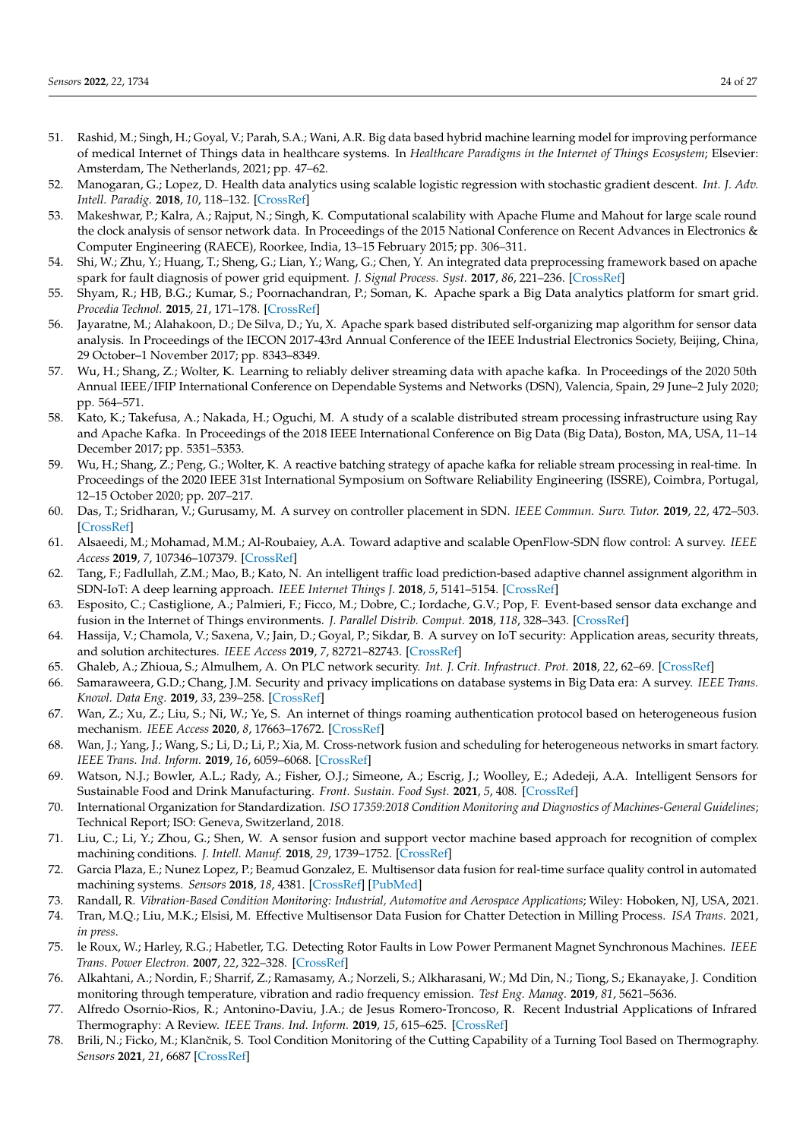- <span id="page-23-0"></span>51. Rashid, M.; Singh, H.; Goyal, V.; Parah, S.A.; Wani, A.R. Big data based hybrid machine learning model for improving performance of medical Internet of Things data in healthcare systems. In *Healthcare Paradigms in the Internet of Things Ecosystem*; Elsevier: Amsterdam, The Netherlands, 2021; pp. 47–62.
- 52. Manogaran, G.; Lopez, D. Health data analytics using scalable logistic regression with stochastic gradient descent. *Int. J. Adv. Intell. Paradig.* **2018**, *10*, 118–132. [\[CrossRef\]](http://dx.doi.org/10.1504/IJAIP.2018.089494)
- <span id="page-23-1"></span>53. Makeshwar, P.; Kalra, A.; Rajput, N.; Singh, K. Computational scalability with Apache Flume and Mahout for large scale round the clock analysis of sensor network data. In Proceedings of the 2015 National Conference on Recent Advances in Electronics & Computer Engineering (RAECE), Roorkee, India, 13–15 February 2015; pp. 306–311.
- <span id="page-23-2"></span>54. Shi, W.; Zhu, Y.; Huang, T.; Sheng, G.; Lian, Y.; Wang, G.; Chen, Y. An integrated data preprocessing framework based on apache spark for fault diagnosis of power grid equipment. *J. Signal Process. Syst.* **2017**, *86*, 221–236. [\[CrossRef\]](http://dx.doi.org/10.1007/s11265-016-1119-4)
- 55. Shyam, R.; HB, B.G.; Kumar, S.; Poornachandran, P.; Soman, K. Apache spark a Big Data analytics platform for smart grid. *Procedia Technol.* **2015**, *21*, 171–178. [\[CrossRef\]](http://dx.doi.org/10.1016/j.protcy.2015.10.085)
- <span id="page-23-3"></span>56. Jayaratne, M.; Alahakoon, D.; De Silva, D.; Yu, X. Apache spark based distributed self-organizing map algorithm for sensor data analysis. In Proceedings of the IECON 2017-43rd Annual Conference of the IEEE Industrial Electronics Society, Beijing, China, 29 October–1 November 2017; pp. 8343–8349.
- <span id="page-23-4"></span>57. Wu, H.; Shang, Z.; Wolter, K. Learning to reliably deliver streaming data with apache kafka. In Proceedings of the 2020 50th Annual IEEE/IFIP International Conference on Dependable Systems and Networks (DSN), Valencia, Spain, 29 June–2 July 2020; pp. 564–571.
- 58. Kato, K.; Takefusa, A.; Nakada, H.; Oguchi, M. A study of a scalable distributed stream processing infrastructure using Ray and Apache Kafka. In Proceedings of the 2018 IEEE International Conference on Big Data (Big Data), Boston, MA, USA, 11–14 December 2017; pp. 5351–5353.
- <span id="page-23-5"></span>59. Wu, H.; Shang, Z.; Peng, G.; Wolter, K. A reactive batching strategy of apache kafka for reliable stream processing in real-time. In Proceedings of the 2020 IEEE 31st International Symposium on Software Reliability Engineering (ISSRE), Coimbra, Portugal, 12–15 October 2020; pp. 207–217.
- <span id="page-23-6"></span>60. Das, T.; Sridharan, V.; Gurusamy, M. A survey on controller placement in SDN. *IEEE Commun. Surv. Tutor.* **2019**, *22*, 472–503. [\[CrossRef\]](http://dx.doi.org/10.1109/COMST.2019.2935453)
- <span id="page-23-7"></span>61. Alsaeedi, M.; Mohamad, M.M.; Al-Roubaiey, A.A. Toward adaptive and scalable OpenFlow-SDN flow control: A survey. *IEEE Access* **2019**, *7*, 107346–107379. [\[CrossRef\]](http://dx.doi.org/10.1109/ACCESS.2019.2932422)
- <span id="page-23-8"></span>62. Tang, F.; Fadlullah, Z.M.; Mao, B.; Kato, N. An intelligent traffic load prediction-based adaptive channel assignment algorithm in SDN-IoT: A deep learning approach. *IEEE Internet Things J.* **2018**, *5*, 5141–5154. [\[CrossRef\]](http://dx.doi.org/10.1109/JIOT.2018.2838574)
- <span id="page-23-9"></span>63. Esposito, C.; Castiglione, A.; Palmieri, F.; Ficco, M.; Dobre, C.; Iordache, G.V.; Pop, F. Event-based sensor data exchange and fusion in the Internet of Things environments. *J. Parallel Distrib. Comput.* **2018**, *118*, 328–343. [\[CrossRef\]](http://dx.doi.org/10.1016/j.jpdc.2017.12.010)
- <span id="page-23-10"></span>64. Hassija, V.; Chamola, V.; Saxena, V.; Jain, D.; Goyal, P.; Sikdar, B. A survey on IoT security: Application areas, security threats, and solution architectures. *IEEE Access* **2019**, *7*, 82721–82743. [\[CrossRef\]](http://dx.doi.org/10.1109/ACCESS.2019.2924045)
- <span id="page-23-11"></span>65. Ghaleb, A.; Zhioua, S.; Almulhem, A. On PLC network security. *Int. J. Crit. Infrastruct. Prot.* **2018**, *22*, 62–69. [\[CrossRef\]](http://dx.doi.org/10.1016/j.ijcip.2018.05.004)
- <span id="page-23-12"></span>66. Samaraweera, G.D.; Chang, J.M. Security and privacy implications on database systems in Big Data era: A survey. *IEEE Trans. Knowl. Data Eng.* **2019**, *33*, 239–258. [\[CrossRef\]](http://dx.doi.org/10.1109/TKDE.2019.2929794)
- <span id="page-23-13"></span>67. Wan, Z.; Xu, Z.; Liu, S.; Ni, W.; Ye, S. An internet of things roaming authentication protocol based on heterogeneous fusion mechanism. *IEEE Access* **2020**, *8*, 17663–17672. [\[CrossRef\]](http://dx.doi.org/10.1109/ACCESS.2020.2967469)
- <span id="page-23-14"></span>68. Wan, J.; Yang, J.; Wang, S.; Li, D.; Li, P.; Xia, M. Cross-network fusion and scheduling for heterogeneous networks in smart factory. *IEEE Trans. Ind. Inform.* **2019**, *16*, 6059–6068. [\[CrossRef\]](http://dx.doi.org/10.1109/TII.2019.2952669)
- <span id="page-23-15"></span>69. Watson, N.J.; Bowler, A.L.; Rady, A.; Fisher, O.J.; Simeone, A.; Escrig, J.; Woolley, E.; Adedeji, A.A. Intelligent Sensors for Sustainable Food and Drink Manufacturing. *Front. Sustain. Food Syst.* **2021**, *5*, 408. [\[CrossRef\]](http://dx.doi.org/10.3389/fsufs.2021.642786)
- <span id="page-23-16"></span>70. International Organization for Standardization. *ISO 17359:2018 Condition Monitoring and Diagnostics of Machines-General Guidelines*; Technical Report; ISO: Geneva, Switzerland, 2018.
- <span id="page-23-17"></span>71. Liu, C.; Li, Y.; Zhou, G.; Shen, W. A sensor fusion and support vector machine based approach for recognition of complex machining conditions. *J. Intell. Manuf.* **2018**, *29*, 1739–1752. [\[CrossRef\]](http://dx.doi.org/10.1007/s10845-016-1209-y)
- <span id="page-23-18"></span>72. Garcia Plaza, E.; Nunez Lopez, P.; Beamud Gonzalez, E. Multisensor data fusion for real-time surface quality control in automated machining systems. *Sensors* **2018**, *18*, 4381. [\[CrossRef\]](http://dx.doi.org/10.3390/s18124381) [\[PubMed\]](http://www.ncbi.nlm.nih.gov/pubmed/30544961)
- <span id="page-23-19"></span>73. Randall, R. *Vibration-Based Condition Monitoring: Industrial, Automotive and Aerospace Applications*; Wiley: Hoboken, NJ, USA, 2021.
- <span id="page-23-20"></span>74. Tran, M.Q.; Liu, M.K.; Elsisi, M. Effective Multisensor Data Fusion for Chatter Detection in Milling Process. *ISA Trans.* 2021, *in press*.
- <span id="page-23-21"></span>75. le Roux, W.; Harley, R.G.; Habetler, T.G. Detecting Rotor Faults in Low Power Permanent Magnet Synchronous Machines. *IEEE Trans. Power Electron.* **2007**, *22*, 322–328. [\[CrossRef\]](http://dx.doi.org/10.1109/TPEL.2006.886620)
- <span id="page-23-22"></span>76. Alkahtani, A.; Nordin, F.; Sharrif, Z.; Ramasamy, A.; Norzeli, S.; Alkharasani, W.; Md Din, N.; Tiong, S.; Ekanayake, J. Condition monitoring through temperature, vibration and radio frequency emission. *Test Eng. Manag.* **2019**, *81*, 5621–5636.
- <span id="page-23-23"></span>77. Alfredo Osornio-Rios, R.; Antonino-Daviu, J.A.; de Jesus Romero-Troncoso, R. Recent Industrial Applications of Infrared Thermography: A Review. *IEEE Trans. Ind. Inform.* **2019**, *15*, 615–625. [\[CrossRef\]](http://dx.doi.org/10.1109/TII.2018.2884738)
- <span id="page-23-24"></span>78. Brili, N.; Ficko, M.; Klančnik, S. Tool Condition Monitoring of the Cutting Capability of a Turning Tool Based on Thermography. *Sensors* **2021**, *21*, 6687 [\[CrossRef\]](http://dx.doi.org/10.3390/s21196687)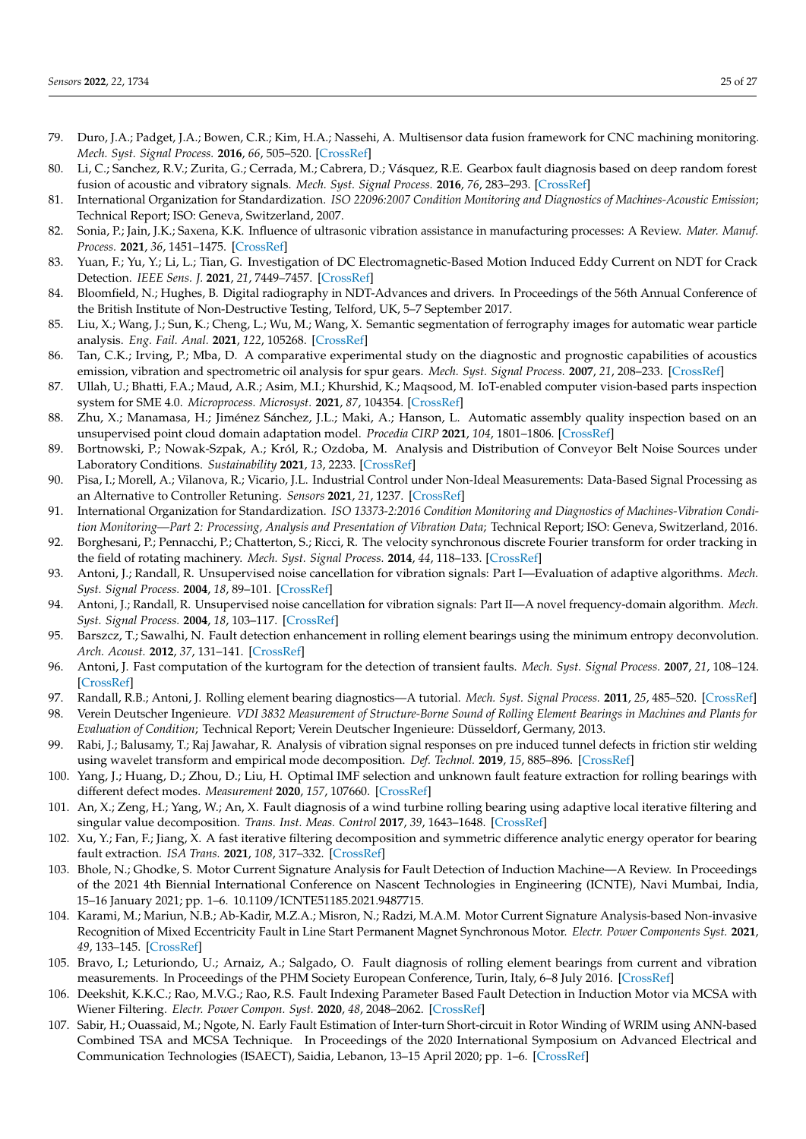- <span id="page-24-0"></span>79. Duro, J.A.; Padget, J.A.; Bowen, C.R.; Kim, H.A.; Nassehi, A. Multisensor data fusion framework for CNC machining monitoring. *Mech. Syst. Signal Process.* **2016**, *66*, 505–520. [\[CrossRef\]](http://dx.doi.org/10.1016/j.ymssp.2015.04.019)
- <span id="page-24-1"></span>80. Li, C.; Sanchez, R.V.; Zurita, G.; Cerrada, M.; Cabrera, D.; Vásquez, R.E. Gearbox fault diagnosis based on deep random forest fusion of acoustic and vibratory signals. *Mech. Syst. Signal Process.* **2016**, *76*, 283–293. [\[CrossRef\]](http://dx.doi.org/10.1016/j.ymssp.2016.02.007)
- <span id="page-24-2"></span>81. International Organization for Standardization. *ISO 22096:2007 Condition Monitoring and Diagnostics of Machines-Acoustic Emission*; Technical Report; ISO: Geneva, Switzerland, 2007.
- <span id="page-24-3"></span>82. Sonia, P.; Jain, J.K.; Saxena, K.K. Influence of ultrasonic vibration assistance in manufacturing processes: A Review. *Mater. Manuf. Process.* **2021**, *36*, 1451–1475. [\[CrossRef\]](http://dx.doi.org/10.1080/10426914.2021.1914843)
- <span id="page-24-4"></span>83. Yuan, F.; Yu, Y.; Li, L.; Tian, G. Investigation of DC Electromagnetic-Based Motion Induced Eddy Current on NDT for Crack Detection. *IEEE Sens. J.* **2021**, *21*, 7449–7457. [\[CrossRef\]](http://dx.doi.org/10.1109/JSEN.2021.3049551)
- <span id="page-24-5"></span>84. Bloomfield, N.; Hughes, B. Digital radiography in NDT-Advances and drivers. In Proceedings of the 56th Annual Conference of the British Institute of Non-Destructive Testing, Telford, UK, 5–7 September 2017.
- <span id="page-24-6"></span>85. Liu, X.; Wang, J.; Sun, K.; Cheng, L.; Wu, M.; Wang, X. Semantic segmentation of ferrography images for automatic wear particle analysis. *Eng. Fail. Anal.* **2021**, *122*, 105268. [\[CrossRef\]](http://dx.doi.org/10.1016/j.engfailanal.2021.105268)
- <span id="page-24-7"></span>86. Tan, C.K.; Irving, P.; Mba, D. A comparative experimental study on the diagnostic and prognostic capabilities of acoustics emission, vibration and spectrometric oil analysis for spur gears. *Mech. Syst. Signal Process.* **2007**, *21*, 208–233. [\[CrossRef\]](http://dx.doi.org/10.1016/j.ymssp.2005.09.015)
- <span id="page-24-8"></span>87. Ullah, U.; Bhatti, F.A.; Maud, A.R.; Asim, M.I.; Khurshid, K.; Maqsood, M. IoT-enabled computer vision-based parts inspection system for SME 4.0. *Microprocess. Microsyst.* **2021**, *87*, 104354. [\[CrossRef\]](http://dx.doi.org/10.1016/j.micpro.2021.104354)
- <span id="page-24-9"></span>88. Zhu, X.; Manamasa, H.; Jiménez Sánchez, J.L.; Maki, A.; Hanson, L. Automatic assembly quality inspection based on an unsupervised point cloud domain adaptation model. *Procedia CIRP* **2021**, *104*, 1801–1806. [\[CrossRef\]](http://dx.doi.org/10.1016/j.procir.2021.11.304)
- <span id="page-24-10"></span>89. Bortnowski, P.; Nowak-Szpak, A.; Król, R.; Ozdoba, M. Analysis and Distribution of Conveyor Belt Noise Sources under Laboratory Conditions. *Sustainability* **2021**, *13*, 2233. [\[CrossRef\]](http://dx.doi.org/10.3390/su13042233)
- <span id="page-24-11"></span>90. Pisa, I.; Morell, A.; Vilanova, R.; Vicario, J.L. Industrial Control under Non-Ideal Measurements: Data-Based Signal Processing as an Alternative to Controller Retuning. *Sensors* **2021**, *21*, 1237. [\[CrossRef\]](http://dx.doi.org/10.3390/s21041237)
- <span id="page-24-12"></span>91. International Organization for Standardization. *ISO 13373-2:2016 Condition Monitoring and Diagnostics of Machines-Vibration Condition Monitoring—Part 2: Processing, Analysis and Presentation of Vibration Data*; Technical Report; ISO: Geneva, Switzerland, 2016.
- <span id="page-24-13"></span>92. Borghesani, P.; Pennacchi, P.; Chatterton, S.; Ricci, R. The velocity synchronous discrete Fourier transform for order tracking in the field of rotating machinery. *Mech. Syst. Signal Process.* **2014**, *44*, 118–133. [\[CrossRef\]](http://dx.doi.org/10.1016/j.ymssp.2013.03.026)
- <span id="page-24-14"></span>93. Antoni, J.; Randall, R. Unsupervised noise cancellation for vibration signals: Part I—Evaluation of adaptive algorithms. *Mech. Syst. Signal Process.* **2004**, *18*, 89–101. [\[CrossRef\]](http://dx.doi.org/10.1016/S0888-3270(03)00012-8)
- <span id="page-24-15"></span>94. Antoni, J.; Randall, R. Unsupervised noise cancellation for vibration signals: Part II—A novel frequency-domain algorithm. *Mech. Syst. Signal Process.* **2004**, *18*, 103–117. [\[CrossRef\]](http://dx.doi.org/10.1016/S0888-3270(03)00013-X)
- <span id="page-24-16"></span>95. Barszcz, T.; Sawalhi, N. Fault detection enhancement in rolling element bearings using the minimum entropy deconvolution. *Arch. Acoust.* **2012**, *37*, 131–141. [\[CrossRef\]](http://dx.doi.org/10.2478/v10168-012-0019-2)
- <span id="page-24-17"></span>96. Antoni, J. Fast computation of the kurtogram for the detection of transient faults. *Mech. Syst. Signal Process.* **2007**, *21*, 108–124. [\[CrossRef\]](http://dx.doi.org/10.1016/j.ymssp.2005.12.002)
- <span id="page-24-18"></span>97. Randall, R.B.; Antoni, J. Rolling element bearing diagnostics—A tutorial. *Mech. Syst. Signal Process.* **2011**, *25*, 485–520. [\[CrossRef\]](http://dx.doi.org/10.1016/j.ymssp.2010.07.017)
- <span id="page-24-19"></span>98. Verein Deutscher Ingenieure. *VDI 3832 Measurement of Structure-Borne Sound of Rolling Element Bearings in Machines and Plants for Evaluation of Condition*; Technical Report; Verein Deutscher Ingenieure: Düsseldorf, Germany, 2013.
- <span id="page-24-20"></span>99. Rabi, J.; Balusamy, T.; Raj Jawahar, R. Analysis of vibration signal responses on pre induced tunnel defects in friction stir welding using wavelet transform and empirical mode decomposition. *Def. Technol.* **2019**, *15*, 885–896. [\[CrossRef\]](http://dx.doi.org/10.1016/j.dt.2019.05.014)
- <span id="page-24-21"></span>100. Yang, J.; Huang, D.; Zhou, D.; Liu, H. Optimal IMF selection and unknown fault feature extraction for rolling bearings with different defect modes. *Measurement* **2020**, *157*, 107660. [\[CrossRef\]](http://dx.doi.org/10.1016/j.measurement.2020.107660)
- <span id="page-24-22"></span>101. An, X.; Zeng, H.; Yang, W.; An, X. Fault diagnosis of a wind turbine rolling bearing using adaptive local iterative filtering and singular value decomposition. *Trans. Inst. Meas. Control* **2017**, *39*, 1643–1648. [\[CrossRef\]](http://dx.doi.org/10.1177/0142331216644041)
- <span id="page-24-23"></span>102. Xu, Y.; Fan, F.; Jiang, X. A fast iterative filtering decomposition and symmetric difference analytic energy operator for bearing fault extraction. *ISA Trans.* **2021**, *108*, 317–332. [\[CrossRef\]](http://dx.doi.org/10.1016/j.isatra.2020.08.015)
- <span id="page-24-24"></span>103. Bhole, N.; Ghodke, S. Motor Current Signature Analysis for Fault Detection of Induction Machine—A Review. In Proceedings of the 2021 4th Biennial International Conference on Nascent Technologies in Engineering (ICNTE), Navi Mumbai, India, 15–16 January 2021; pp. 1–6. [10.1109/ICNTE51185.2021.9487715.](https://doi.org/10.1109/ICNTE51185.2021.9487715)
- <span id="page-24-25"></span>104. Karami, M.; Mariun, N.B.; Ab-Kadir, M.Z.A.; Misron, N.; Radzi, M.A.M. Motor Current Signature Analysis-based Non-invasive Recognition of Mixed Eccentricity Fault in Line Start Permanent Magnet Synchronous Motor. *Electr. Power Components Syst.* **2021**, *49*, 133–145. [\[CrossRef\]](http://dx.doi.org/10.1080/15325008.2021.1937386)
- <span id="page-24-26"></span>105. Bravo, I.; Leturiondo, U.; Arnaiz, A.; Salgado, O. Fault diagnosis of rolling element bearings from current and vibration measurements. In Proceedings of the PHM Society European Conference, Turin, Italy, 6–8 July 2016. [\[CrossRef\]](http://dx.doi.org/10.36001/phme.2016.v3i1.1619)
- <span id="page-24-27"></span>106. Deekshit, K.K.C.; Rao, M.V.G.; Rao, R.S. Fault Indexing Parameter Based Fault Detection in Induction Motor via MCSA with Wiener Filtering. *Electr. Power Compon. Syst.* **2020**, *48*, 2048–2062. [\[CrossRef\]](http://dx.doi.org/10.1080/15325008.2021.1910376)
- <span id="page-24-28"></span>107. Sabir, H.; Ouassaid, M.; Ngote, N. Early Fault Estimation of Inter-turn Short-circuit in Rotor Winding of WRIM using ANN-based Combined TSA and MCSA Technique. In Proceedings of the 2020 International Symposium on Advanced Electrical and Communication Technologies (ISAECT), Saidia, Lebanon, 13–15 April 2020; pp. 1–6. [\[CrossRef\]](https://doi.org/10.1109/ISAECT50560.2020.9523697)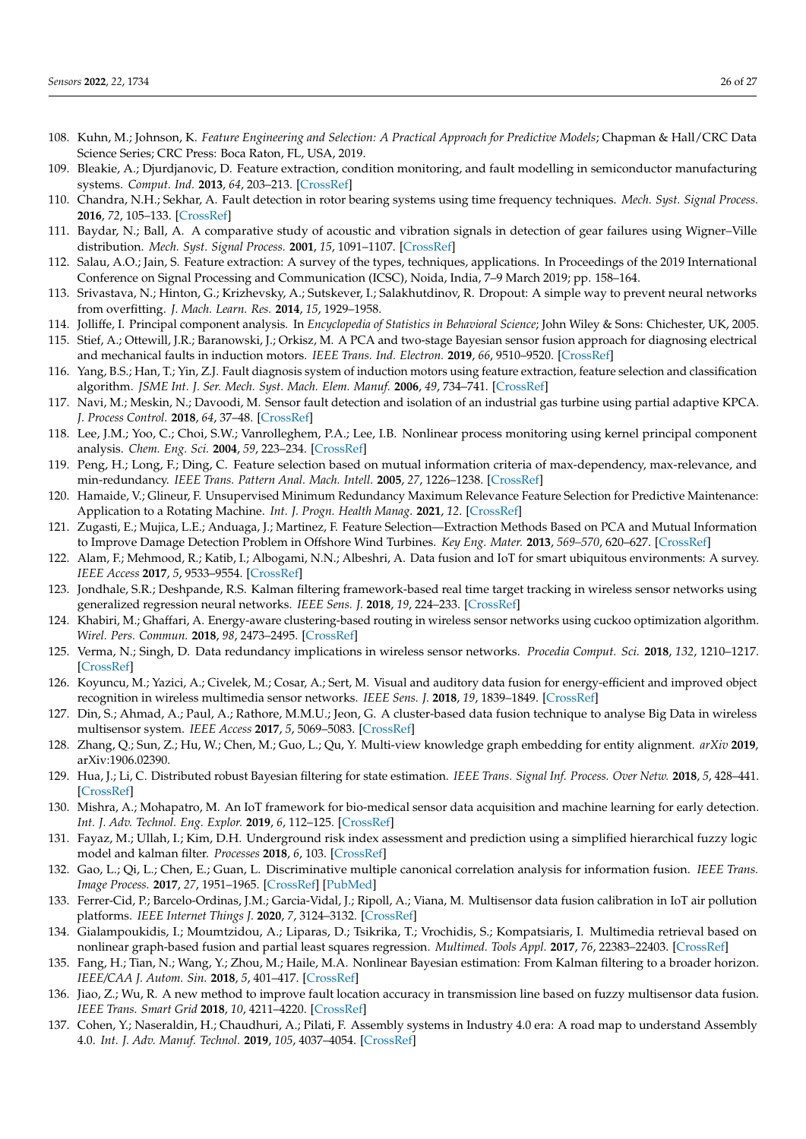- <span id="page-25-0"></span>108. Kuhn, M.; Johnson, K. Feature Engineering and Selection: A Practical Approach for Predictive Models; Chapman & Hall/CRC Data Science Series; CRC Press: Boca Raton, FL, USA, 2019.
- <span id="page-25-1"></span>109. Bleakie, A.; Djurdjanovic, D. Feature extraction, condition monitoring, and fault modelling in semiconductor manufacturing systems. *Comput. Ind.* **2013**, *64*, 203–213. [\[CrossRef\]](http://dx.doi.org/10.1016/j.compind.2012.10.002)
- <span id="page-25-2"></span>110. Chandra, N.H.; Sekhar, A. Fault detection in rotor bearing systems using time frequency techniques. *Mech. Syst. Signal Process.* **2016**, *72*, 105–133. [\[CrossRef\]](http://dx.doi.org/10.1016/j.ymssp.2015.11.013)
- <span id="page-25-3"></span>111. Baydar, N.; Ball, A. A comparative study of acoustic and vibration signals in detection of gear failures using Wigner–Ville distribution. *Mech. Syst. Signal Process.* **2001**, *15*, 1091–1107. [\[CrossRef\]](http://dx.doi.org/10.1006/mssp.2000.1338)
- <span id="page-25-4"></span>112. Salau, A.O.; Jain, S. Feature extraction: A survey of the types, techniques, applications. In Proceedings of the 2019 International Conference on Signal Processing and Communication (ICSC), Noida, India, 7–9 March 2019; pp. 158–164.
- <span id="page-25-5"></span>113. Srivastava, N.; Hinton, G.; Krizhevsky, A.; Sutskever, I.; Salakhutdinov, R. Dropout: A simple way to prevent neural networks from overfitting. *J. Mach. Learn. Res.* **2014**, *15*, 1929–1958.
- <span id="page-25-7"></span><span id="page-25-6"></span>114. Jolliffe, I. Principal component analysis. In *Encyclopedia of Statistics in Behavioral Science*; John Wiley & Sons: Chichester, UK, 2005. 115. Stief, A.; Ottewill, J.R.; Baranowski, J.; Orkisz, M. A PCA and two-stage Bayesian sensor fusion approach for diagnosing electrical and mechanical faults in induction motors. *IEEE Trans. Ind. Electron.* **2019**, *66*, 9510–9520. [\[CrossRef\]](http://dx.doi.org/10.1109/TIE.2019.2891453)
- <span id="page-25-8"></span>116. Yang, B.S.; Han, T.; Yin, Z.J. Fault diagnosis system of induction motors using feature extraction, feature selection and classification algorithm. *JSME Int. J. Ser. Mech. Syst. Mach. Elem. Manuf.* **2006**, *49*, 734–741. [\[CrossRef\]](http://dx.doi.org/10.1299/jsmec.49.734)
- <span id="page-25-9"></span>117. Navi, M.; Meskin, N.; Davoodi, M. Sensor fault detection and isolation of an industrial gas turbine using partial adaptive KPCA. *J. Process Control.* **2018**, *64*, 37–48. [\[CrossRef\]](http://dx.doi.org/10.1016/j.jprocont.2018.02.002)
- <span id="page-25-10"></span>118. Lee, J.M.; Yoo, C.; Choi, S.W.; Vanrolleghem, P.A.; Lee, I.B. Nonlinear process monitoring using kernel principal component analysis. *Chem. Eng. Sci.* **2004**, *59*, 223–234. [\[CrossRef\]](http://dx.doi.org/10.1016/j.ces.2003.09.012)
- <span id="page-25-11"></span>119. Peng, H.; Long, F.; Ding, C. Feature selection based on mutual information criteria of max-dependency, max-relevance, and min-redundancy. *IEEE Trans. Pattern Anal. Mach. Intell.* **2005**, *27*, 1226–1238. [\[CrossRef\]](http://dx.doi.org/10.1109/TPAMI.2005.159)
- <span id="page-25-12"></span>120. Hamaide, V.; Glineur, F. Unsupervised Minimum Redundancy Maximum Relevance Feature Selection for Predictive Maintenance: Application to a Rotating Machine. *Int. J. Progn. Health Manag.* **2021**, *12*. [\[CrossRef\]](http://dx.doi.org/10.36001/ijphm.2021.v12i2.2955)
- <span id="page-25-13"></span>121. Zugasti, E.; Mujica, L.E.; Anduaga, J.; Martinez, F. Feature Selection—Extraction Methods Based on PCA and Mutual Information to Improve Damage Detection Problem in Offshore Wind Turbines. *Key Eng. Mater.* **2013**, *569–570*, 620–627. [\[CrossRef\]](http://dx.doi.org/10.4028/www.scientific.net/KEM.569-570.620)
- <span id="page-25-14"></span>122. Alam, F.; Mehmood, R.; Katib, I.; Albogami, N.N.; Albeshri, A. Data fusion and IoT for smart ubiquitous environments: A survey. *IEEE Access* **2017**, *5*, 9533–9554. [\[CrossRef\]](http://dx.doi.org/10.1109/ACCESS.2017.2697839)
- <span id="page-25-15"></span>123. Jondhale, S.R.; Deshpande, R.S. Kalman filtering framework-based real time target tracking in wireless sensor networks using generalized regression neural networks. *IEEE Sens. J.* **2018**, *19*, 224–233. [\[CrossRef\]](http://dx.doi.org/10.1109/JSEN.2018.2873357)
- <span id="page-25-16"></span>124. Khabiri, M.; Ghaffari, A. Energy-aware clustering-based routing in wireless sensor networks using cuckoo optimization algorithm. *Wirel. Pers. Commun.* **2018**, *98*, 2473–2495. [\[CrossRef\]](http://dx.doi.org/10.1007/s11277-017-4983-8)
- <span id="page-25-28"></span>125. Verma, N.; Singh, D. Data redundancy implications in wireless sensor networks. *Procedia Comput. Sci.* **2018**, *132*, 1210–1217. [\[CrossRef\]](http://dx.doi.org/10.1016/j.procs.2018.05.036)
- <span id="page-25-29"></span>126. Koyuncu, M.; Yazici, A.; Civelek, M.; Cosar, A.; Sert, M. Visual and auditory data fusion for energy-efficient and improved object recognition in wireless multimedia sensor networks. *IEEE Sens. J.* **2018**, *19*, 1839–1849. [\[CrossRef\]](http://dx.doi.org/10.1109/JSEN.2018.2885281)
- <span id="page-25-17"></span>127. Din, S.; Ahmad, A.; Paul, A.; Rathore, M.M.U.; Jeon, G. A cluster-based data fusion technique to analyse Big Data in wireless multisensor system. *IEEE Access* **2017**, *5*, 5069–5083. [\[CrossRef\]](http://dx.doi.org/10.1109/ACCESS.2017.2679207)
- <span id="page-25-18"></span>128. Zhang, Q.; Sun, Z.; Hu, W.; Chen, M.; Guo, L.; Qu, Y. Multi-view knowledge graph embedding for entity alignment. *arXiv* **2019**, arXiv:1906.02390.
- <span id="page-25-19"></span>129. Hua, J.; Li, C. Distributed robust Bayesian filtering for state estimation. *IEEE Trans. Signal Inf. Process. Over Netw.* **2018**, *5*, 428–441. [\[CrossRef\]](http://dx.doi.org/10.1109/TSIPN.2018.2889579)
- <span id="page-25-20"></span>130. Mishra, A.; Mohapatro, M. An IoT framework for bio-medical sensor data acquisition and machine learning for early detection. *Int. J. Adv. Technol. Eng. Explor.* **2019**, *6*, 112–125. [\[CrossRef\]](http://dx.doi.org/10.19101/IJATEE.2019.650027)
- <span id="page-25-21"></span>131. Fayaz, M.; Ullah, I.; Kim, D.H. Underground risk index assessment and prediction using a simplified hierarchical fuzzy logic model and kalman filter. *Processes* **2018**, *6*, 103. [\[CrossRef\]](http://dx.doi.org/10.3390/pr6080103)
- <span id="page-25-22"></span>132. Gao, L.; Qi, L.; Chen, E.; Guan, L. Discriminative multiple canonical correlation analysis for information fusion. *IEEE Trans. Image Process.* **2017**, *27*, 1951–1965. [\[CrossRef\]](http://dx.doi.org/10.1109/TIP.2017.2765820) [\[PubMed\]](http://www.ncbi.nlm.nih.gov/pubmed/29989999)
- <span id="page-25-23"></span>133. Ferrer-Cid, P.; Barcelo-Ordinas, J.M.; Garcia-Vidal, J.; Ripoll, A.; Viana, M. Multisensor data fusion calibration in IoT air pollution platforms. *IEEE Internet Things J.* **2020**, *7*, 3124–3132. [\[CrossRef\]](http://dx.doi.org/10.1109/JIOT.2020.2965283)
- <span id="page-25-24"></span>134. Gialampoukidis, I.; Moumtzidou, A.; Liparas, D.; Tsikrika, T.; Vrochidis, S.; Kompatsiaris, I. Multimedia retrieval based on nonlinear graph-based fusion and partial least squares regression. *Multimed. Tools Appl.* **2017**, *76*, 22383–22403. [\[CrossRef\]](http://dx.doi.org/10.1007/s11042-017-4797-4)
- <span id="page-25-25"></span>135. Fang, H.; Tian, N.; Wang, Y.; Zhou, M.; Haile, M.A. Nonlinear Bayesian estimation: From Kalman filtering to a broader horizon. *IEEE/CAA J. Autom. Sin.* **2018**, *5*, 401–417. [\[CrossRef\]](http://dx.doi.org/10.1109/JAS.2017.7510808)
- <span id="page-25-26"></span>136. Jiao, Z.; Wu, R. A new method to improve fault location accuracy in transmission line based on fuzzy multisensor data fusion. *IEEE Trans. Smart Grid* **2018**, *10*, 4211–4220. [\[CrossRef\]](http://dx.doi.org/10.1109/TSG.2018.2853678)
- <span id="page-25-27"></span>137. Cohen, Y.; Naseraldin, H.; Chaudhuri, A.; Pilati, F. Assembly systems in Industry 4.0 era: A road map to understand Assembly 4.0. *Int. J. Adv. Manuf. Technol.* **2019**, *105*, 4037–4054. [\[CrossRef\]](http://dx.doi.org/10.1007/s00170-019-04203-1)